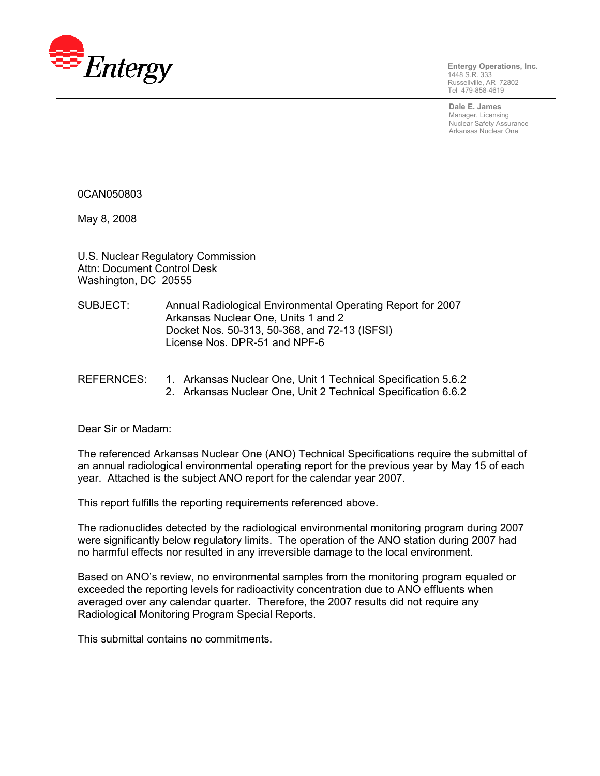

**Entergy Operations, Inc.**  1448 S.R. 333 Russellville, AR 72802 Tel 479-858-4619

**Dale E. James**  Manager, Licensing Nuclear Safety Assurance Arkansas Nuclear One

0CAN050803

May 8, 2008

U.S. Nuclear Regulatory Commission Attn: Document Control Desk Washington, DC 20555

- SUBJECT: Annual Radiological Environmental Operating Report for 2007 Arkansas Nuclear One, Units 1 and 2 Docket Nos. 50-313, 50-368, and 72-13 (ISFSI) License Nos. DPR-51 and NPF-6
- REFERNCES: 1. Arkansas Nuclear One, Unit 1 Technical Specification 5.6.2
	- 2. Arkansas Nuclear One, Unit 2 Technical Specification 6.6.2

Dear Sir or Madam:

The referenced Arkansas Nuclear One (ANO) Technical Specifications require the submittal of an annual radiological environmental operating report for the previous year by May 15 of each year. Attached is the subject ANO report for the calendar year 2007.

This report fulfills the reporting requirements referenced above.

The radionuclides detected by the radiological environmental monitoring program during 2007 were significantly below regulatory limits. The operation of the ANO station during 2007 had no harmful effects nor resulted in any irreversible damage to the local environment.

Based on ANO's review, no environmental samples from the monitoring program equaled or exceeded the reporting levels for radioactivity concentration due to ANO effluents when averaged over any calendar quarter. Therefore, the 2007 results did not require any Radiological Monitoring Program Special Reports.

This submittal contains no commitments.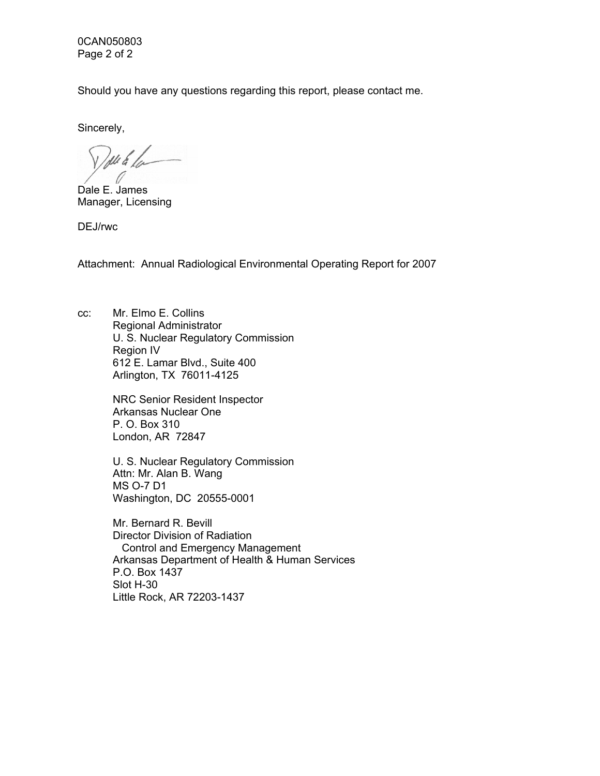0CAN050803 Page 2 of 2

Should you have any questions regarding this report, please contact me.

Sincerely,

11461

Dale E. James Manager, Licensing

DEJ/rwc

Attachment: Annual Radiological Environmental Operating Report for 2007

cc: Mr. Elmo E. Collins Regional Administrator U. S. Nuclear Regulatory Commission Region IV 612 E. Lamar Blvd., Suite 400 Arlington, TX 76011-4125

> NRC Senior Resident Inspector Arkansas Nuclear One P. O. Box 310 London, AR 72847

U. S. Nuclear Regulatory Commission Attn: Mr. Alan B. Wang MS O-7 D1 Washington, DC 20555-0001

Mr. Bernard R. Bevill Director Division of Radiation Control and Emergency Management Arkansas Department of Health & Human Services P.O. Box 1437 Slot H-30 Little Rock, AR 72203-1437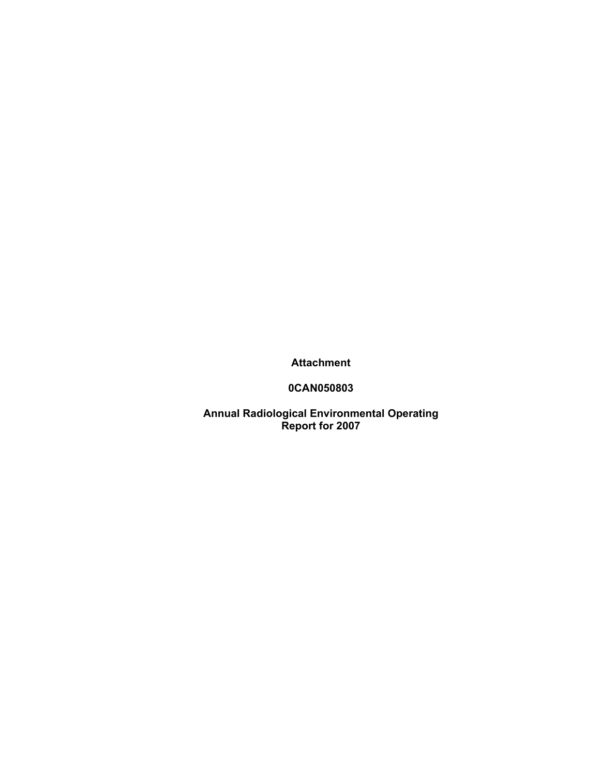**Attachment** 

**0CAN050803** 

**Annual Radiological Environmental Operating Report for 2007**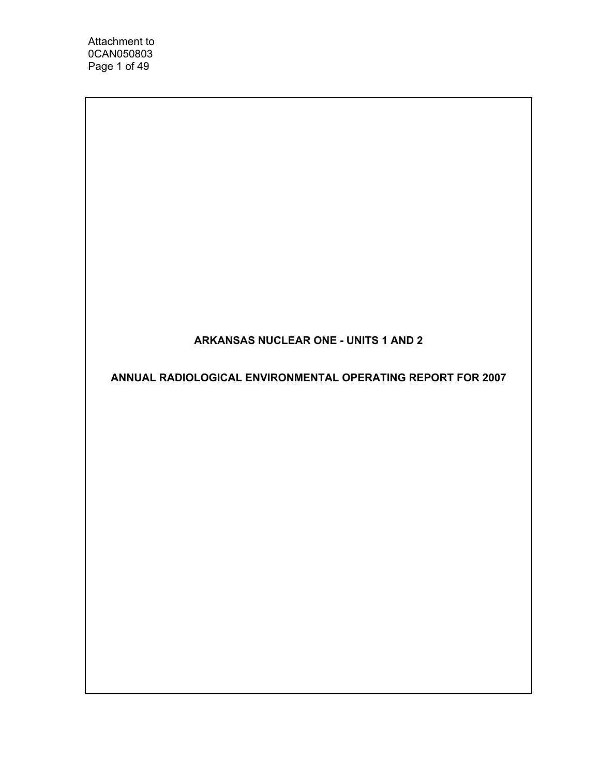Attachment to 0CAN050803 Page 1 of 49

## **ARKANSAS NUCLEAR ONE - UNITS 1 AND 2**

**ANNUAL RADIOLOGICAL ENVIRONMENTAL OPERATING REPORT FOR 2007**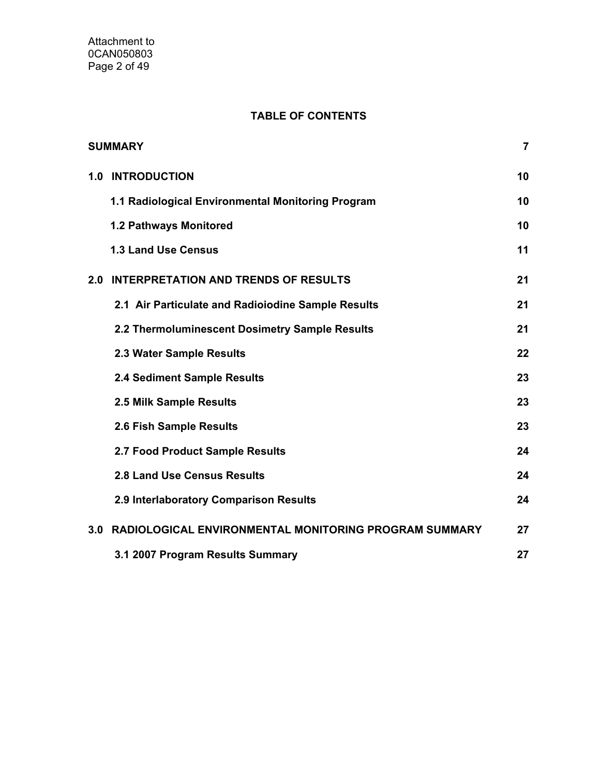## **TABLE OF CONTENTS**

|     | <b>SUMMARY</b>                                            | 7  |
|-----|-----------------------------------------------------------|----|
| 1.0 | <b>INTRODUCTION</b>                                       | 10 |
|     | 1.1 Radiological Environmental Monitoring Program         | 10 |
|     | 1.2 Pathways Monitored                                    | 10 |
|     | <b>1.3 Land Use Census</b>                                | 11 |
| 2.0 | <b>INTERPRETATION AND TRENDS OF RESULTS</b>               | 21 |
|     | 2.1 Air Particulate and Radioiodine Sample Results        | 21 |
|     | 2.2 Thermoluminescent Dosimetry Sample Results            | 21 |
|     | 2.3 Water Sample Results                                  | 22 |
|     | 2.4 Sediment Sample Results                               | 23 |
|     | 2.5 Milk Sample Results                                   | 23 |
|     | 2.6 Fish Sample Results                                   | 23 |
|     | 2.7 Food Product Sample Results                           | 24 |
|     | 2.8 Land Use Census Results                               | 24 |
|     | 2.9 Interlaboratory Comparison Results                    | 24 |
|     | 3.0 RADIOLOGICAL ENVIRONMENTAL MONITORING PROGRAM SUMMARY | 27 |
|     | 3.1 2007 Program Results Summary                          | 27 |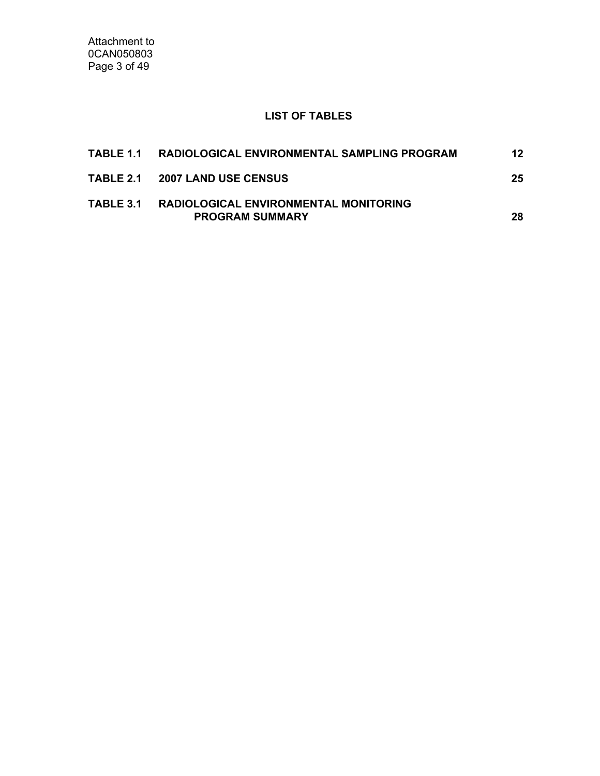Attachment to 0CAN050803 Page 3 of 49

## **LIST OF TABLES**

| TABLE 1.1 RADIOLOGICAL ENVIRONMENTAL SAMPLING PROGRAM                     | 12  |
|---------------------------------------------------------------------------|-----|
| TABLE 2.1 2007 LAND USE CENSUS                                            | 25  |
| TABLE 3.1 RADIOLOGICAL ENVIRONMENTAL MONITORING<br><b>PROGRAM SUMMARY</b> | 28. |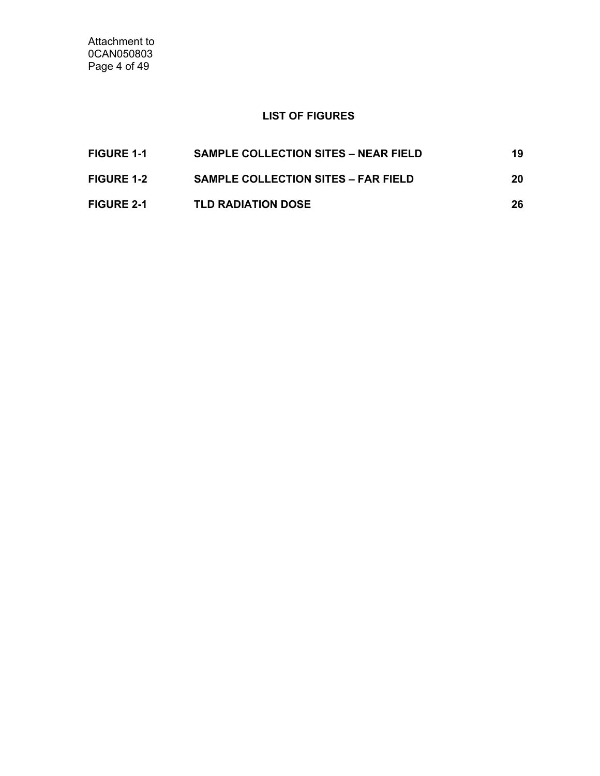Attachment to 0CAN050803 Page 4 of 49

## **LIST OF FIGURES**

| <b>FIGURE 1-1</b> | <b>SAMPLE COLLECTION SITES – NEAR FIELD</b> | 19 |
|-------------------|---------------------------------------------|----|
| <b>FIGURE 1-2</b> | <b>SAMPLE COLLECTION SITES – FAR FIELD</b>  | 20 |
| <b>FIGURE 2-1</b> | <b>TLD RADIATION DOSE</b>                   | 26 |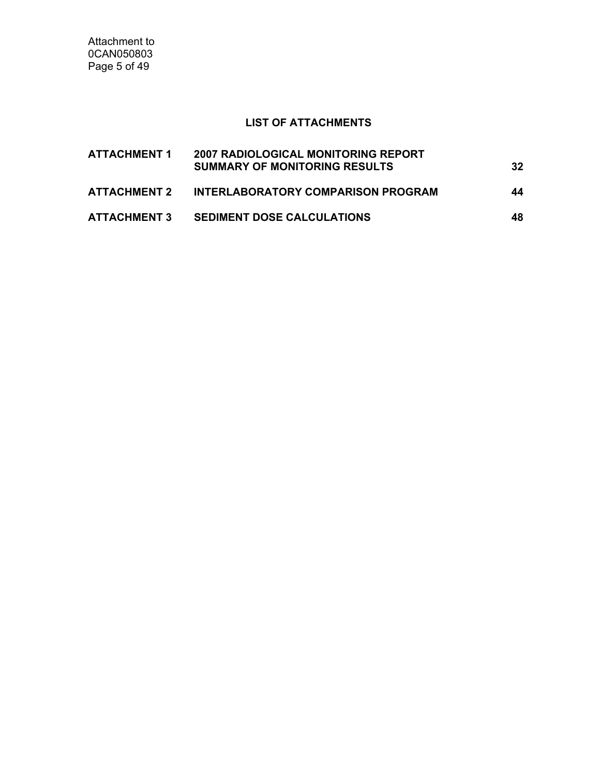Attachment to 0CAN050803 Page 5 of 49

## **LIST OF ATTACHMENTS**

| <b>ATTACHMENT 1</b> | <b>2007 RADIOLOGICAL MONITORING REPORT</b><br><b>SUMMARY OF MONITORING RESULTS</b> | 32  |
|---------------------|------------------------------------------------------------------------------------|-----|
| ATTACHMENT 2        | INTERLABORATORY COMPARISON PROGRAM                                                 | 44  |
| <b>ATTACHMENT 3</b> | <b>SEDIMENT DOSE CALCULATIONS</b>                                                  | 48. |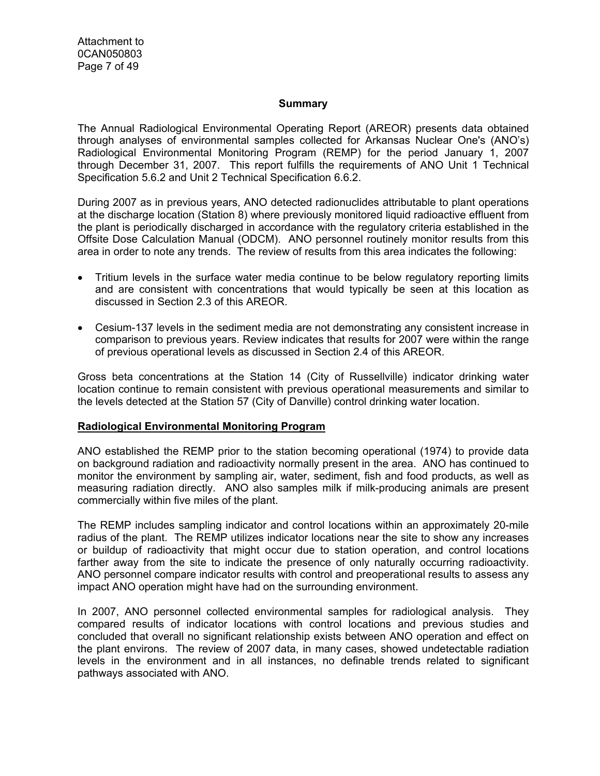#### **Summary**

The Annual Radiological Environmental Operating Report (AREOR) presents data obtained through analyses of environmental samples collected for Arkansas Nuclear One's (ANO's) Radiological Environmental Monitoring Program (REMP) for the period January 1, 2007 through December 31, 2007. This report fulfills the requirements of ANO Unit 1 Technical Specification 5.6.2 and Unit 2 Technical Specification 6.6.2.

During 2007 as in previous years, ANO detected radionuclides attributable to plant operations at the discharge location (Station 8) where previously monitored liquid radioactive effluent from the plant is periodically discharged in accordance with the regulatory criteria established in the Offsite Dose Calculation Manual (ODCM). ANO personnel routinely monitor results from this area in order to note any trends. The review of results from this area indicates the following:

- Tritium levels in the surface water media continue to be below regulatory reporting limits and are consistent with concentrations that would typically be seen at this location as discussed in Section 2.3 of this AREOR.
- Cesium-137 levels in the sediment media are not demonstrating any consistent increase in comparison to previous years. Review indicates that results for 2007 were within the range of previous operational levels as discussed in Section 2.4 of this AREOR.

Gross beta concentrations at the Station 14 (City of Russellville) indicator drinking water location continue to remain consistent with previous operational measurements and similar to the levels detected at the Station 57 (City of Danville) control drinking water location.

#### **Radiological Environmental Monitoring Program**

ANO established the REMP prior to the station becoming operational (1974) to provide data on background radiation and radioactivity normally present in the area. ANO has continued to monitor the environment by sampling air, water, sediment, fish and food products, as well as measuring radiation directly. ANO also samples milk if milk-producing animals are present commercially within five miles of the plant.

The REMP includes sampling indicator and control locations within an approximately 20-mile radius of the plant. The REMP utilizes indicator locations near the site to show any increases or buildup of radioactivity that might occur due to station operation, and control locations farther away from the site to indicate the presence of only naturally occurring radioactivity. ANO personnel compare indicator results with control and preoperational results to assess any impact ANO operation might have had on the surrounding environment.

In 2007, ANO personnel collected environmental samples for radiological analysis. They compared results of indicator locations with control locations and previous studies and concluded that overall no significant relationship exists between ANO operation and effect on the plant environs. The review of 2007 data, in many cases, showed undetectable radiation levels in the environment and in all instances, no definable trends related to significant pathways associated with ANO.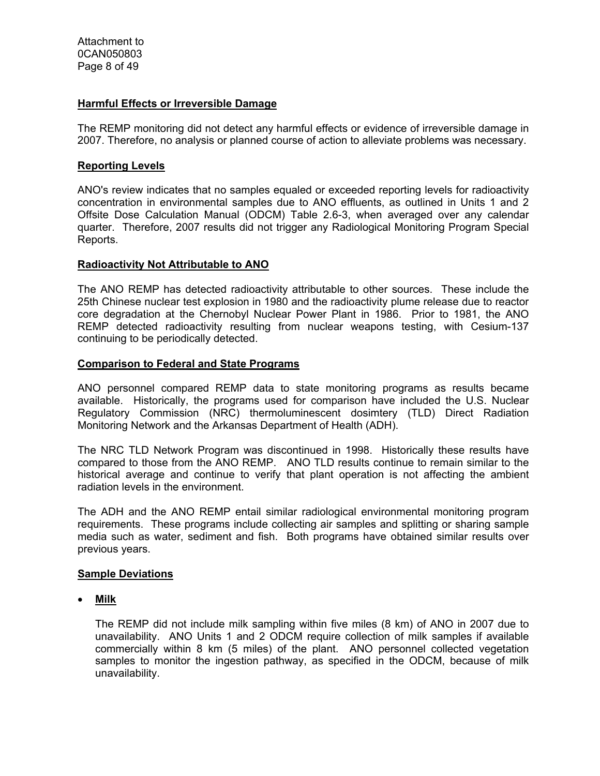#### **Harmful Effects or Irreversible Damage**

The REMP monitoring did not detect any harmful effects or evidence of irreversible damage in 2007. Therefore, no analysis or planned course of action to alleviate problems was necessary.

#### **Reporting Levels**

ANO's review indicates that no samples equaled or exceeded reporting levels for radioactivity concentration in environmental samples due to ANO effluents, as outlined in Units 1 and 2 Offsite Dose Calculation Manual (ODCM) Table 2.6-3, when averaged over any calendar quarter. Therefore, 2007 results did not trigger any Radiological Monitoring Program Special Reports.

#### **Radioactivity Not Attributable to ANO**

The ANO REMP has detected radioactivity attributable to other sources. These include the 25th Chinese nuclear test explosion in 1980 and the radioactivity plume release due to reactor core degradation at the Chernobyl Nuclear Power Plant in 1986. Prior to 1981, the ANO REMP detected radioactivity resulting from nuclear weapons testing, with Cesium-137 continuing to be periodically detected.

#### **Comparison to Federal and State Programs**

ANO personnel compared REMP data to state monitoring programs as results became available. Historically, the programs used for comparison have included the U.S. Nuclear Regulatory Commission (NRC) thermoluminescent dosimtery (TLD) Direct Radiation Monitoring Network and the Arkansas Department of Health (ADH).

The NRC TLD Network Program was discontinued in 1998. Historically these results have compared to those from the ANO REMP. ANO TLD results continue to remain similar to the historical average and continue to verify that plant operation is not affecting the ambient radiation levels in the environment.

The ADH and the ANO REMP entail similar radiological environmental monitoring program requirements. These programs include collecting air samples and splitting or sharing sample media such as water, sediment and fish. Both programs have obtained similar results over previous years.

#### **Sample Deviations**

• **Milk**

The REMP did not include milk sampling within five miles (8 km) of ANO in 2007 due to unavailability. ANO Units 1 and 2 ODCM require collection of milk samples if available commercially within 8 km (5 miles) of the plant. ANO personnel collected vegetation samples to monitor the ingestion pathway, as specified in the ODCM, because of milk unavailability.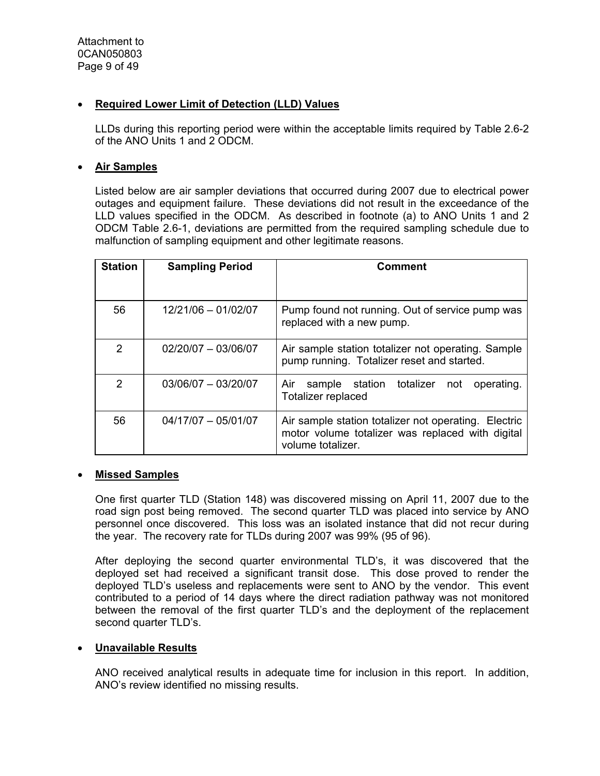#### • **Required Lower Limit of Detection (LLD) Values**

LLDs during this reporting period were within the acceptable limits required by Table 2.6-2 of the ANO Units 1 and 2 ODCM.

#### • **Air Samples**

Listed below are air sampler deviations that occurred during 2007 due to electrical power outages and equipment failure. These deviations did not result in the exceedance of the LLD values specified in the ODCM. As described in footnote (a) to ANO Units 1 and 2 ODCM Table 2.6-1, deviations are permitted from the required sampling schedule due to malfunction of sampling equipment and other legitimate reasons.

| <b>Station</b> | <b>Sampling Period</b> | Comment                                                                                                                       |  |  |
|----------------|------------------------|-------------------------------------------------------------------------------------------------------------------------------|--|--|
| 56             | 12/21/06 - 01/02/07    | Pump found not running. Out of service pump was<br>replaced with a new pump.                                                  |  |  |
| $\mathcal{P}$  | 02/20/07 - 03/06/07    | Air sample station totalizer not operating. Sample<br>pump running. Totalizer reset and started.                              |  |  |
| $\overline{2}$ | $03/06/07 - 03/20/07$  | sample station totalizer<br>Air<br>not<br>operating.<br>Totalizer replaced                                                    |  |  |
| 56             | $04/17/07 - 05/01/07$  | Air sample station totalizer not operating. Electric<br>motor volume totalizer was replaced with digital<br>volume totalizer. |  |  |

#### • **Missed Samples**

One first quarter TLD (Station 148) was discovered missing on April 11, 2007 due to the road sign post being removed. The second quarter TLD was placed into service by ANO personnel once discovered. This loss was an isolated instance that did not recur during the year. The recovery rate for TLDs during 2007 was 99% (95 of 96).

After deploying the second quarter environmental TLD's, it was discovered that the deployed set had received a significant transit dose. This dose proved to render the deployed TLD's useless and replacements were sent to ANO by the vendor. This event contributed to a period of 14 days where the direct radiation pathway was not monitored between the removal of the first quarter TLD's and the deployment of the replacement second quarter TLD's.

#### • **Unavailable Results**

ANO received analytical results in adequate time for inclusion in this report. In addition, ANO's review identified no missing results.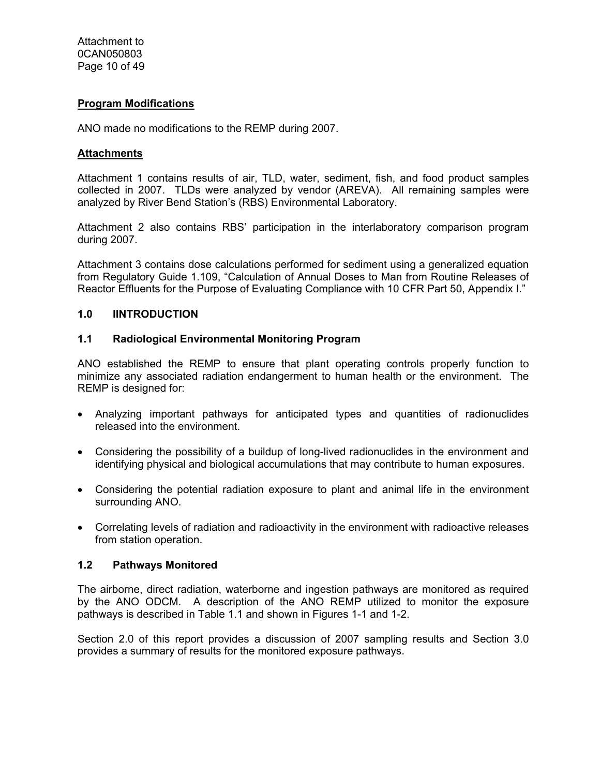#### **Program Modifications**

ANO made no modifications to the REMP during 2007.

#### **Attachments**

Attachment 1 contains results of air, TLD, water, sediment, fish, and food product samples collected in 2007. TLDs were analyzed by vendor (AREVA). All remaining samples were analyzed by River Bend Station's (RBS) Environmental Laboratory.

Attachment 2 also contains RBS' participation in the interlaboratory comparison program during 2007.

Attachment 3 contains dose calculations performed for sediment using a generalized equation from Regulatory Guide 1.109, "Calculation of Annual Doses to Man from Routine Releases of Reactor Effluents for the Purpose of Evaluating Compliance with 10 CFR Part 50, Appendix I."

#### **1.0 IINTRODUCTION**

#### **1.1 Radiological Environmental Monitoring Program**

ANO established the REMP to ensure that plant operating controls properly function to minimize any associated radiation endangerment to human health or the environment. The REMP is designed for:

- Analyzing important pathways for anticipated types and quantities of radionuclides released into the environment.
- Considering the possibility of a buildup of long-lived radionuclides in the environment and identifying physical and biological accumulations that may contribute to human exposures.
- Considering the potential radiation exposure to plant and animal life in the environment surrounding ANO.
- Correlating levels of radiation and radioactivity in the environment with radioactive releases from station operation.

#### **1.2 Pathways Monitored**

The airborne, direct radiation, waterborne and ingestion pathways are monitored as required by the ANO ODCM. A description of the ANO REMP utilized to monitor the exposure pathways is described in Table 1.1 and shown in Figures 1-1 and 1-2.

Section 2.0 of this report provides a discussion of 2007 sampling results and Section 3.0 provides a summary of results for the monitored exposure pathways.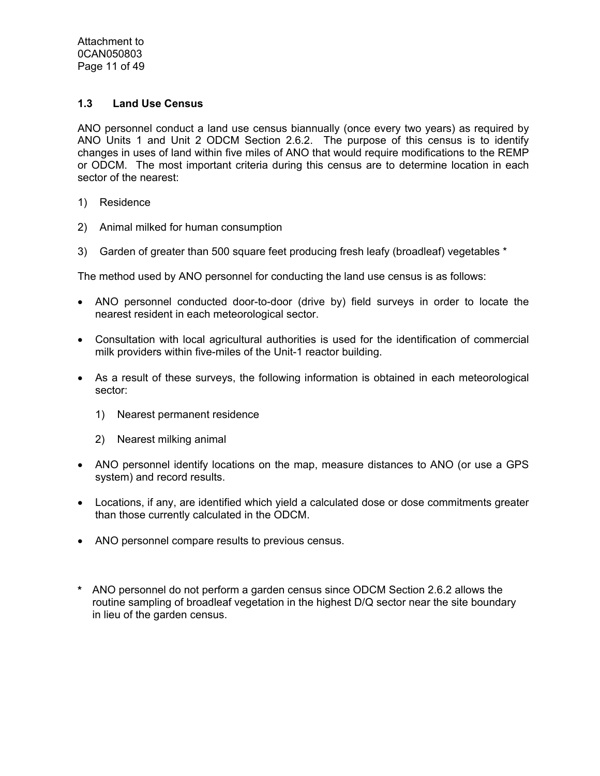Attachment to 0CAN050803 Page 11 of 49

#### **1.3 Land Use Census**

ANO personnel conduct a land use census biannually (once every two years) as required by ANO Units 1 and Unit 2 ODCM Section 2.6.2. The purpose of this census is to identify changes in uses of land within five miles of ANO that would require modifications to the REMP or ODCM. The most important criteria during this census are to determine location in each sector of the nearest:

- 1) Residence
- 2) Animal milked for human consumption
- 3) Garden of greater than 500 square feet producing fresh leafy (broadleaf) vegetables \*

The method used by ANO personnel for conducting the land use census is as follows:

- ANO personnel conducted door-to-door (drive by) field surveys in order to locate the nearest resident in each meteorological sector.
- Consultation with local agricultural authorities is used for the identification of commercial milk providers within five-miles of the Unit-1 reactor building.
- As a result of these surveys, the following information is obtained in each meteorological sector:
	- 1) Nearest permanent residence
	- 2) Nearest milking animal
- ANO personnel identify locations on the map, measure distances to ANO (or use a GPS system) and record results.
- Locations, if any, are identified which yield a calculated dose or dose commitments greater than those currently calculated in the ODCM.
- ANO personnel compare results to previous census.
- **\*** ANO personnel do not perform a garden census since ODCM Section 2.6.2 allows the routine sampling of broadleaf vegetation in the highest D/Q sector near the site boundary in lieu of the garden census.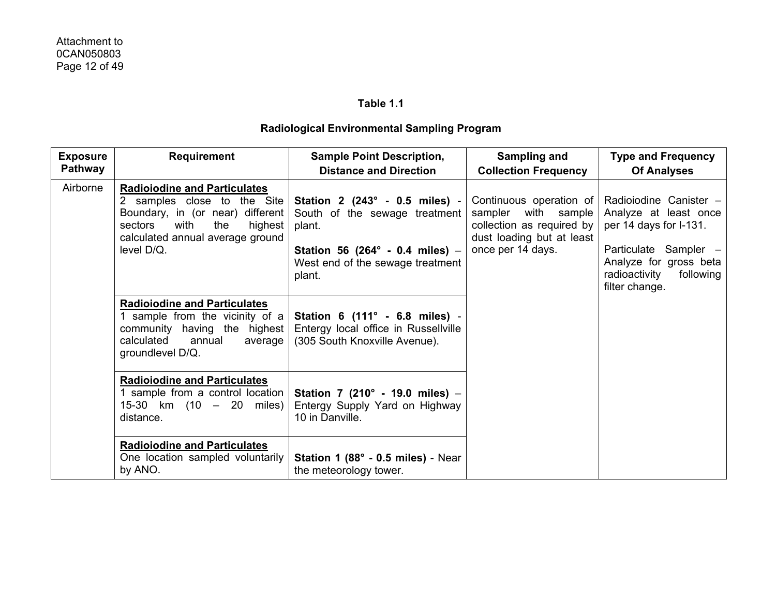#### **Table 1.1**

## **Radiological Environmental Sampling Program**

| <b>Exposure</b><br><b>Pathway</b> | <b>Requirement</b>                                                                                                                                                                            | <b>Sample Point Description,</b><br><b>Distance and Direction</b>                                                                                          | Sampling and<br><b>Collection Frequency</b> | <b>Type and Frequency</b><br><b>Of Analyses</b>                                                                                             |                                                                                                                                           |
|-----------------------------------|-----------------------------------------------------------------------------------------------------------------------------------------------------------------------------------------------|------------------------------------------------------------------------------------------------------------------------------------------------------------|---------------------------------------------|---------------------------------------------------------------------------------------------------------------------------------------------|-------------------------------------------------------------------------------------------------------------------------------------------|
| Airborne                          | <b>Radioiodine and Particulates</b><br>2 samples close to the Site<br>Boundary, in (or near) different<br>sectors<br>with<br>the<br>highest<br>calculated annual average ground<br>level D/Q. | Station 2 (243° - 0.5 miles) -<br>South of the sewage treatment<br>plant.<br>Station 56 (264° - 0.4 miles) -<br>West end of the sewage treatment<br>plant. | once per 14 days.                           | Continuous operation of<br>sampler with sample<br>collection as required by<br>dust loading but at least<br>radioactivity<br>filter change. | Radioiodine Canister -<br>Analyze at least once<br>per 14 days for I-131.<br>Particulate Sampler -<br>Analyze for gross beta<br>following |
|                                   | <b>Radioiodine and Particulates</b><br>1 sample from the vicinity of a<br>community having the highest<br>calculated<br>annual<br>average<br>groundlevel D/Q.                                 | Station 6 (111° - 6.8 miles) -<br>Entergy local office in Russellville<br>(305 South Knoxville Avenue).                                                    |                                             |                                                                                                                                             |                                                                                                                                           |
|                                   | <b>Radioiodine and Particulates</b><br>1 sample from a control location<br>15-30 km $(10 - 20$ miles)<br>distance.                                                                            | Station 7 (210° - 19.0 miles) -<br>Entergy Supply Yard on Highway<br>10 in Danville.                                                                       |                                             |                                                                                                                                             |                                                                                                                                           |
|                                   | <b>Radioiodine and Particulates</b><br>One location sampled voluntarily<br>by ANO.                                                                                                            | Station 1 (88° - 0.5 miles) - Near<br>the meteorology tower.                                                                                               |                                             |                                                                                                                                             |                                                                                                                                           |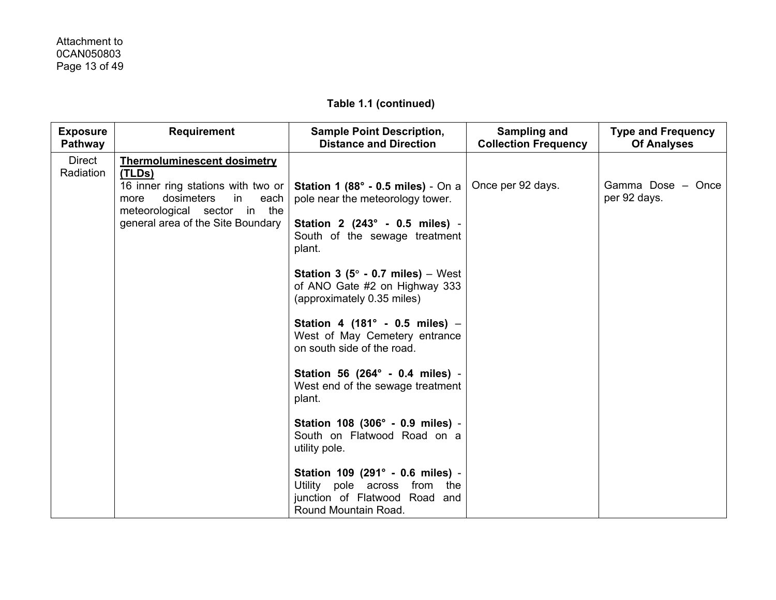| <b>Exposure</b><br><b>Pathway</b> | <b>Requirement</b>                                                                                                                                                                          | <b>Sample Point Description,</b><br><b>Distance and Direction</b>                                                                                                                                                                                                                                                           | Sampling and<br><b>Collection Frequency</b> | <b>Type and Frequency</b><br><b>Of Analyses</b> |
|-----------------------------------|---------------------------------------------------------------------------------------------------------------------------------------------------------------------------------------------|-----------------------------------------------------------------------------------------------------------------------------------------------------------------------------------------------------------------------------------------------------------------------------------------------------------------------------|---------------------------------------------|-------------------------------------------------|
| Direct<br>Radiation               | <b>Thermoluminescent dosimetry</b><br>(TLDs)<br>16 inner ring stations with two or<br>dosimeters<br>in<br>more<br>each<br>meteorological sector in the<br>general area of the Site Boundary | <b>Station 1 (88° - 0.5 miles)</b> - On a<br>pole near the meteorology tower.<br>Station 2 (243° - 0.5 miles) -<br>South of the sewage treatment<br>plant.<br><b>Station 3 (5<math>^{\circ}</math> - 0.7 miles)</b> – West<br>of ANO Gate #2 on Highway 333<br>(approximately 0.35 miles)<br>Station 4 (181° - 0.5 miles) - | Once per 92 days.                           | Gamma Dose - Once<br>per 92 days.               |
|                                   |                                                                                                                                                                                             | West of May Cemetery entrance<br>on south side of the road.<br>Station 56 (264° - 0.4 miles) -<br>West end of the sewage treatment<br>plant.                                                                                                                                                                                |                                             |                                                 |
|                                   |                                                                                                                                                                                             | Station 108 (306° - 0.9 miles) -<br>South on Flatwood Road on a<br>utility pole.<br>Station 109 (291° - 0.6 miles) -<br>Utility pole across from the<br>junction of Flatwood Road and                                                                                                                                       |                                             |                                                 |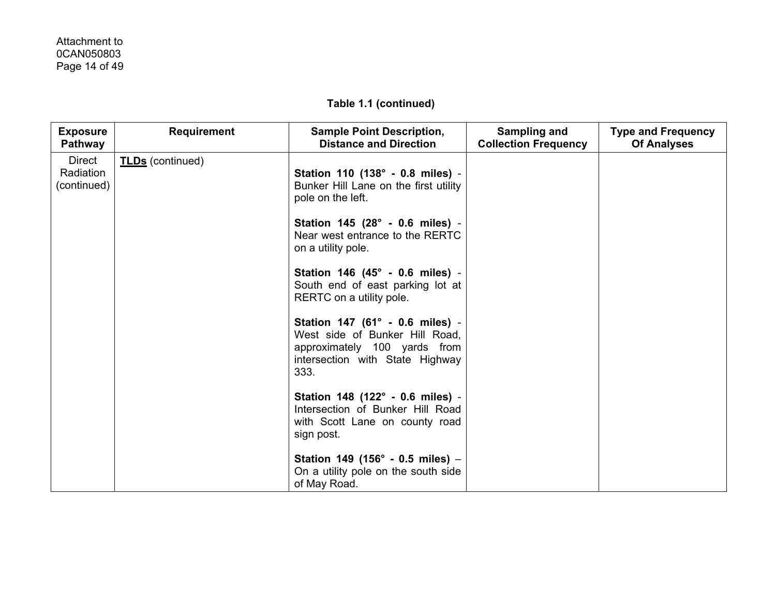## Attachment to 0CAN050803 Page 14 of 49

| <b>Exposure</b><br>Pathway                | <b>Requirement</b>      | <b>Sample Point Description,</b><br><b>Distance and Direction</b>                                                                            | Sampling and<br><b>Collection Frequency</b> | <b>Type and Frequency</b><br><b>Of Analyses</b> |
|-------------------------------------------|-------------------------|----------------------------------------------------------------------------------------------------------------------------------------------|---------------------------------------------|-------------------------------------------------|
| <b>Direct</b><br>Radiation<br>(continued) | <b>TLDs</b> (continued) | Station 110 (138° - 0.8 miles) -<br>Bunker Hill Lane on the first utility<br>pole on the left.                                               |                                             |                                                 |
|                                           |                         | Station 145 (28° - 0.6 miles) -<br>Near west entrance to the RERTC<br>on a utility pole.                                                     |                                             |                                                 |
|                                           |                         | Station 146 (45° - 0.6 miles) -<br>South end of east parking lot at<br>RERTC on a utility pole.                                              |                                             |                                                 |
|                                           |                         | Station 147 (61° - 0.6 miles) -<br>West side of Bunker Hill Road,<br>approximately 100 yards from<br>intersection with State Highway<br>333. |                                             |                                                 |
|                                           |                         | Station 148 (122° - 0.6 miles) -<br>Intersection of Bunker Hill Road<br>with Scott Lane on county road<br>sign post.                         |                                             |                                                 |
|                                           |                         | Station 149 (156° - 0.5 miles) -<br>On a utility pole on the south side<br>of May Road.                                                      |                                             |                                                 |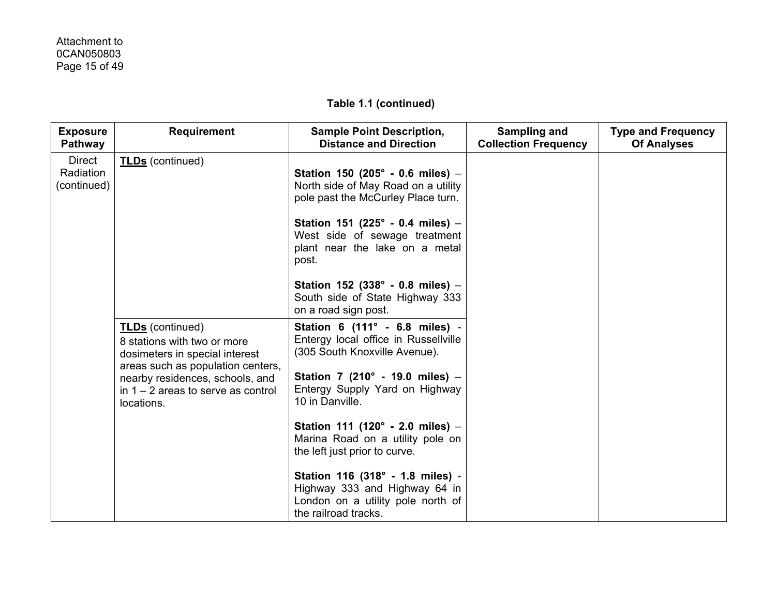| <b>Exposure</b><br>Pathway                | <b>Requirement</b>                                                                                                         | <b>Sample Point Description,</b><br><b>Distance and Direction</b>                                                              | Sampling and<br><b>Collection Frequency</b> | <b>Type and Frequency</b><br><b>Of Analyses</b> |
|-------------------------------------------|----------------------------------------------------------------------------------------------------------------------------|--------------------------------------------------------------------------------------------------------------------------------|---------------------------------------------|-------------------------------------------------|
| <b>Direct</b><br>Radiation<br>(continued) | <b>TLDs</b> (continued)                                                                                                    | Station 150 (205° - 0.6 miles) -<br>North side of May Road on a utility<br>pole past the McCurley Place turn.                  |                                             |                                                 |
|                                           |                                                                                                                            | Station 151 (225° - 0.4 miles) -<br>West side of sewage treatment<br>plant near the lake on a metal<br>post.                   |                                             |                                                 |
|                                           |                                                                                                                            | Station 152 (338° - 0.8 miles) -<br>South side of State Highway 333<br>on a road sign post.                                    |                                             |                                                 |
|                                           | <b>TLDs</b> (continued)<br>8 stations with two or more<br>dosimeters in special interest                                   | Station 6 (111° - 6.8 miles) -<br>Entergy local office in Russellville<br>(305 South Knoxville Avenue).                        |                                             |                                                 |
|                                           | areas such as population centers,<br>nearby residences, schools, and<br>in $1 - 2$ areas to serve as control<br>locations. | Station 7 (210° - 19.0 miles) -<br>Entergy Supply Yard on Highway<br>10 in Danville.                                           |                                             |                                                 |
|                                           |                                                                                                                            | Station 111 (120° - 2.0 miles) -<br>Marina Road on a utility pole on<br>the left just prior to curve.                          |                                             |                                                 |
|                                           |                                                                                                                            | Station 116 (318° - 1.8 miles) -<br>Highway 333 and Highway 64 in<br>London on a utility pole north of<br>the railroad tracks. |                                             |                                                 |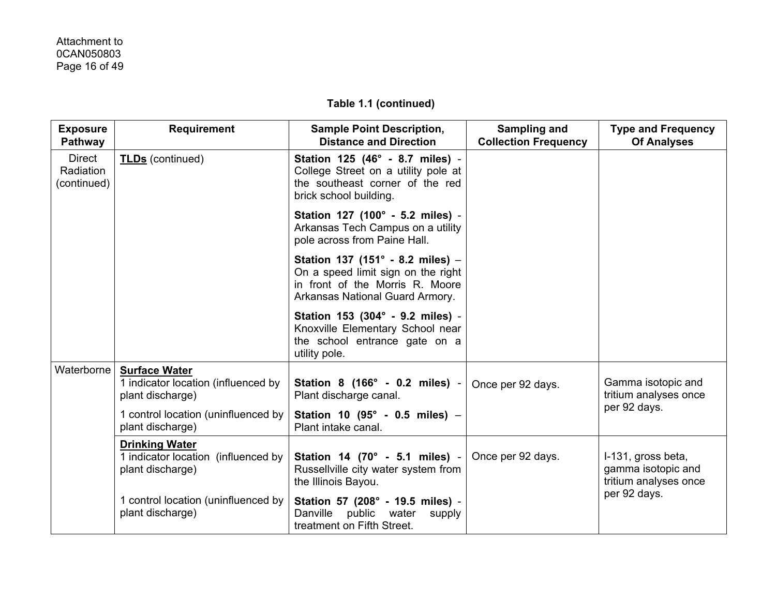| <b>Exposure</b><br>Pathway                | <b>Requirement</b>                                                               | <b>Sample Point Description,</b><br><b>Distance and Direction</b>                                                                            | Sampling and<br><b>Collection Frequency</b> | <b>Type and Frequency</b><br><b>Of Analyses</b>                   |
|-------------------------------------------|----------------------------------------------------------------------------------|----------------------------------------------------------------------------------------------------------------------------------------------|---------------------------------------------|-------------------------------------------------------------------|
| <b>Direct</b><br>Radiation<br>(continued) | <b>TLDs</b> (continued)                                                          | Station 125 (46° - 8.7 miles) -<br>College Street on a utility pole at<br>the southeast corner of the red<br>brick school building.          |                                             |                                                                   |
|                                           |                                                                                  | Station 127 (100° - 5.2 miles) -<br>Arkansas Tech Campus on a utility<br>pole across from Paine Hall.                                        |                                             |                                                                   |
|                                           |                                                                                  | Station 137 (151° - 8.2 miles) -<br>On a speed limit sign on the right<br>in front of the Morris R. Moore<br>Arkansas National Guard Armory. |                                             |                                                                   |
|                                           |                                                                                  | Station 153 (304° - 9.2 miles) -<br>Knoxville Elementary School near<br>the school entrance gate on a<br>utility pole.                       |                                             |                                                                   |
| Waterborne                                | <b>Surface Water</b><br>1 indicator location (influenced by<br>plant discharge)  | Station 8 (166° - 0.2 miles) -<br>Plant discharge canal.                                                                                     | Once per 92 days.                           | Gamma isotopic and<br>tritium analyses once                       |
|                                           | 1 control location (uninfluenced by<br>plant discharge)                          | Station 10 (95° - 0.5 miles) -<br>Plant intake canal.                                                                                        |                                             | per 92 days.                                                      |
|                                           | <b>Drinking Water</b><br>1 indicator location (influenced by<br>plant discharge) | Station 14 (70° - 5.1 miles) -<br>Russellville city water system from<br>the Illinois Bayou.                                                 | Once per 92 days.                           | I-131, gross beta,<br>gamma isotopic and<br>tritium analyses once |
|                                           | 1 control location (uninfluenced by<br>plant discharge)                          | Station 57 (208° - 19.5 miles) -<br>Danville public water<br>supply<br>treatment on Fifth Street.                                            |                                             | per 92 days.                                                      |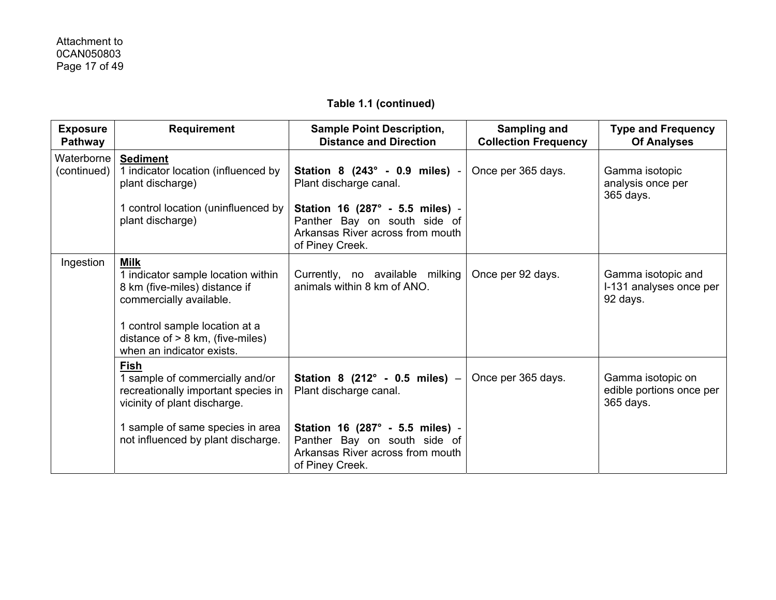| <b>Exposure</b><br><b>Pathway</b> | <b>Requirement</b>                                                                                                                                                                                                 | <b>Sample Point Description,</b><br><b>Distance and Direction</b>                                                      | Sampling and<br><b>Collection Frequency</b> | <b>Type and Frequency</b><br><b>Of Analyses</b>            |
|-----------------------------------|--------------------------------------------------------------------------------------------------------------------------------------------------------------------------------------------------------------------|------------------------------------------------------------------------------------------------------------------------|---------------------------------------------|------------------------------------------------------------|
| Waterborne<br>(continued)         | <b>Sediment</b><br>1 indicator location (influenced by<br>plant discharge)                                                                                                                                         | Station 8 (243° - 0.9 miles) -<br>Plant discharge canal.                                                               | Once per 365 days.                          | Gamma isotopic<br>analysis once per<br>365 days.           |
|                                   | 1 control location (uninfluenced by<br>plant discharge)                                                                                                                                                            | Station 16 (287° - 5.5 miles) -<br>Panther Bay on south side of<br>Arkansas River across from mouth<br>of Piney Creek. |                                             |                                                            |
| Ingestion                         | <b>Milk</b><br>1 indicator sample location within<br>8 km (five-miles) distance if<br>commercially available.<br>1 control sample location at a<br>distance of $> 8$ km, (five-miles)<br>when an indicator exists. | Currently, no available milking<br>animals within 8 km of ANO.                                                         | Once per 92 days.                           | Gamma isotopic and<br>I-131 analyses once per<br>92 days.  |
|                                   | Fish<br>1 sample of commercially and/or<br>recreationally important species in<br>vicinity of plant discharge.                                                                                                     | Station 8 $(212^{\circ} - 0.5$ miles) -<br>Plant discharge canal.                                                      | Once per 365 days.                          | Gamma isotopic on<br>edible portions once per<br>365 days. |
|                                   | 1 sample of same species in area<br>not influenced by plant discharge.                                                                                                                                             | Station 16 (287° - 5.5 miles) -<br>Panther Bay on south side of<br>Arkansas River across from mouth<br>of Piney Creek. |                                             |                                                            |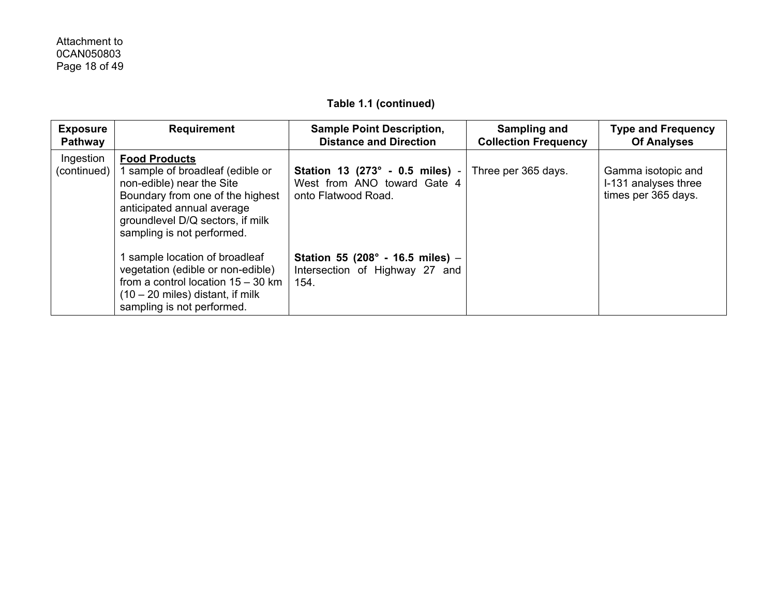| <b>Exposure</b><br>Pathway | <b>Requirement</b>                                                                                                                                                                                                      | <b>Sample Point Description,</b><br><b>Distance and Direction</b>                     | Sampling and<br><b>Collection Frequency</b> | <b>Type and Frequency</b><br><b>Of Analyses</b>                   |
|----------------------------|-------------------------------------------------------------------------------------------------------------------------------------------------------------------------------------------------------------------------|---------------------------------------------------------------------------------------|---------------------------------------------|-------------------------------------------------------------------|
| Ingestion<br>(continued)   | <b>Food Products</b><br>sample of broadleaf (edible or<br>non-edible) near the Site<br>Boundary from one of the highest<br>anticipated annual average<br>groundlevel D/Q sectors, if milk<br>sampling is not performed. | Station 13 (273° - 0.5 miles) -<br>West from ANO toward Gate 4<br>onto Flatwood Road. | Three per 365 days.                         | Gamma isotopic and<br>I-131 analyses three<br>times per 365 days. |
|                            | sample location of broadleaf<br>vegetation (edible or non-edible)<br>from a control location $15 - 30$ km<br>$(10 - 20$ miles) distant, if milk<br>sampling is not performed.                                           | Station 55 (208° - 16.5 miles) -<br>Intersection of Highway 27 and<br>154.            |                                             |                                                                   |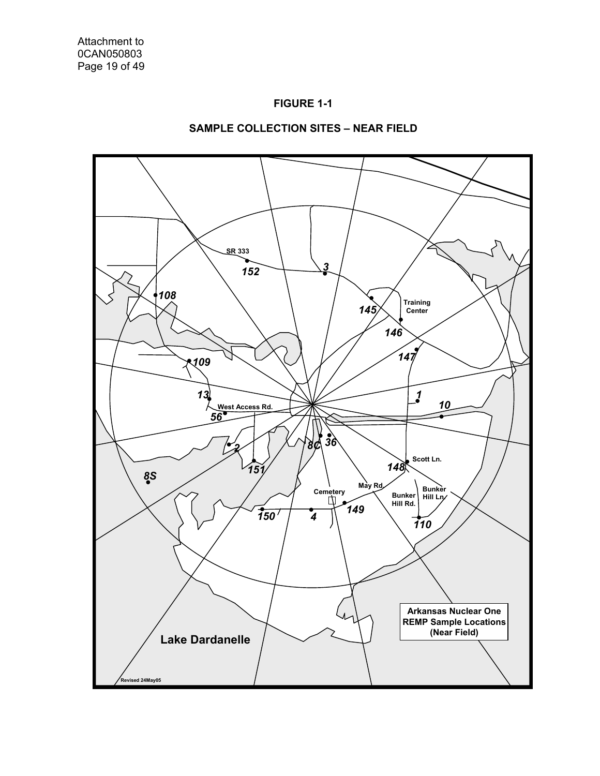



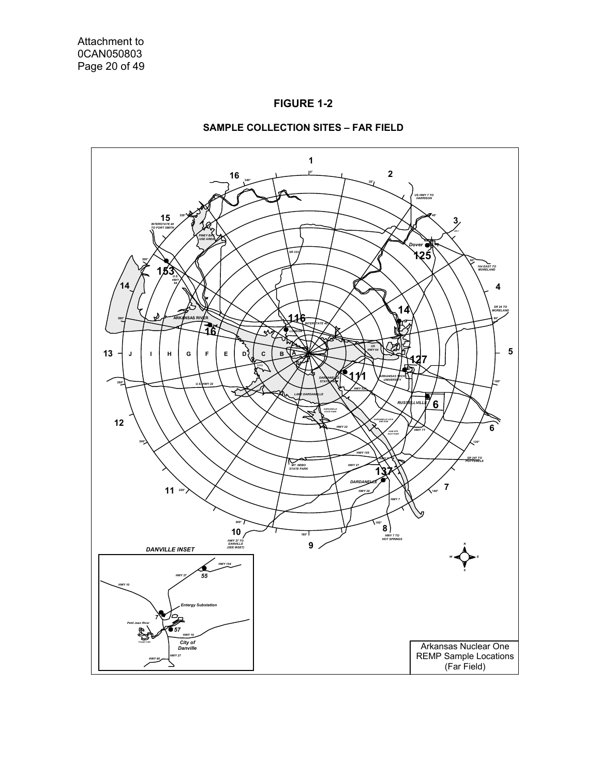



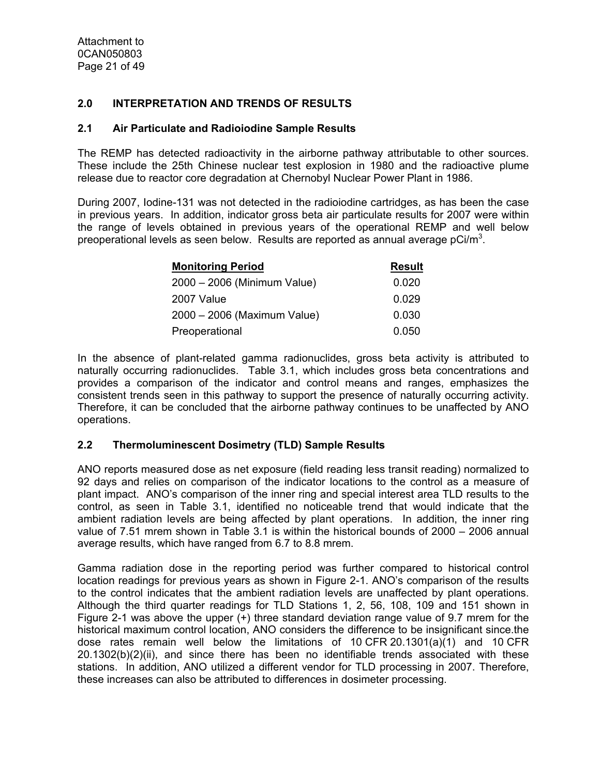#### **2.0 INTERPRETATION AND TRENDS OF RESULTS**

#### **2.1 Air Particulate and Radioiodine Sample Results**

The REMP has detected radioactivity in the airborne pathway attributable to other sources. These include the 25th Chinese nuclear test explosion in 1980 and the radioactive plume release due to reactor core degradation at Chernobyl Nuclear Power Plant in 1986.

During 2007, Iodine-131 was not detected in the radioiodine cartridges, as has been the case in previous years. In addition, indicator gross beta air particulate results for 2007 were within the range of levels obtained in previous years of the operational REMP and well below preoperational levels as seen below. Results are reported as annual average  $pCi/m^3$ .

| <b>Monitoring Period</b>    | <b>Result</b> |
|-----------------------------|---------------|
| 2000 - 2006 (Minimum Value) | 0.020         |
| 2007 Value                  | 0.029         |
| 2000 - 2006 (Maximum Value) | 0.030         |
| Preoperational              | 0.050         |

In the absence of plant-related gamma radionuclides, gross beta activity is attributed to naturally occurring radionuclides. Table 3.1, which includes gross beta concentrations and provides a comparison of the indicator and control means and ranges, emphasizes the consistent trends seen in this pathway to support the presence of naturally occurring activity. Therefore, it can be concluded that the airborne pathway continues to be unaffected by ANO operations.

#### **2.2 Thermoluminescent Dosimetry (TLD) Sample Results**

ANO reports measured dose as net exposure (field reading less transit reading) normalized to 92 days and relies on comparison of the indicator locations to the control as a measure of plant impact. ANO's comparison of the inner ring and special interest area TLD results to the control, as seen in Table 3.1, identified no noticeable trend that would indicate that the ambient radiation levels are being affected by plant operations. In addition, the inner ring value of 7.51 mrem shown in Table 3.1 is within the historical bounds of 2000 – 2006 annual average results, which have ranged from 6.7 to 8.8 mrem.

Gamma radiation dose in the reporting period was further compared to historical control location readings for previous years as shown in Figure 2-1. ANO's comparison of the results to the control indicates that the ambient radiation levels are unaffected by plant operations. Although the third quarter readings for TLD Stations 1, 2, 56, 108, 109 and 151 shown in Figure 2-1 was above the upper (+) three standard deviation range value of 9.7 mrem for the historical maximum control location, ANO considers the difference to be insignificant since.the dose rates remain well below the limitations of 10 CFR 20.1301(a)(1) and 10 CFR 20.1302(b)(2)(ii), and since there has been no identifiable trends associated with these stations. In addition, ANO utilized a different vendor for TLD processing in 2007. Therefore, these increases can also be attributed to differences in dosimeter processing.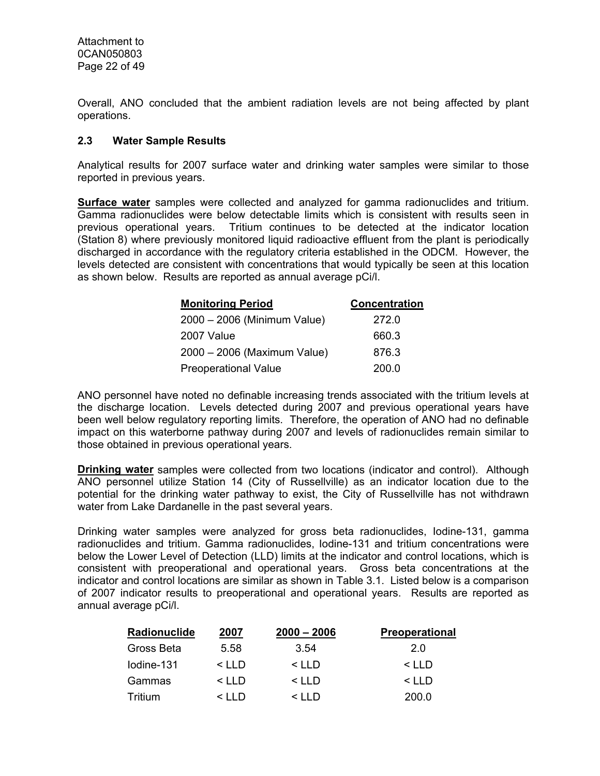Overall, ANO concluded that the ambient radiation levels are not being affected by plant operations.

#### **2.3 Water Sample Results**

Analytical results for 2007 surface water and drinking water samples were similar to those reported in previous years.

**Surface water** samples were collected and analyzed for gamma radionuclides and tritium. Gamma radionuclides were below detectable limits which is consistent with results seen in previous operational years. Tritium continues to be detected at the indicator location (Station 8) where previously monitored liquid radioactive effluent from the plant is periodically discharged in accordance with the regulatory criteria established in the ODCM. However, the levels detected are consistent with concentrations that would typically be seen at this location as shown below. Results are reported as annual average pCi/l.

| <b>Monitoring Period</b>    | <b>Concentration</b> |
|-----------------------------|----------------------|
| 2000 - 2006 (Minimum Value) | 272.0                |
| 2007 Value                  | 660.3                |
| 2000 - 2006 (Maximum Value) | 876.3                |
| <b>Preoperational Value</b> | 200.0                |

ANO personnel have noted no definable increasing trends associated with the tritium levels at the discharge location. Levels detected during 2007 and previous operational years have been well below regulatory reporting limits. Therefore, the operation of ANO had no definable impact on this waterborne pathway during 2007 and levels of radionuclides remain similar to those obtained in previous operational years.

**Drinking water** samples were collected from two locations (indicator and control). Although ANO personnel utilize Station 14 (City of Russellville) as an indicator location due to the potential for the drinking water pathway to exist, the City of Russellville has not withdrawn water from Lake Dardanelle in the past several years.

Drinking water samples were analyzed for gross beta radionuclides, Iodine-131, gamma radionuclides and tritium. Gamma radionuclides, Iodine-131 and tritium concentrations were below the Lower Level of Detection (LLD) limits at the indicator and control locations, which is consistent with preoperational and operational years. Gross beta concentrations at the indicator and control locations are similar as shown in Table 3.1. Listed below is a comparison of 2007 indicator results to preoperational and operational years. Results are reported as annual average pCi/l.

| Radionuclide | 2007         | $2000 - 2006$ | <b>Preoperational</b> |
|--------------|--------------|---------------|-----------------------|
| Gross Beta   | 5.58         | 3.54          | 2.0                   |
| lodine-131   | $\leq$ I I D | $<$ LLD       | $<$ LLD               |
| Gammas       | $\leq$ I I D | $\leq$ I I D  | $\leq$ IID            |
| Tritium      | < 1 I D      | $\leq$ I I D  | 200.0                 |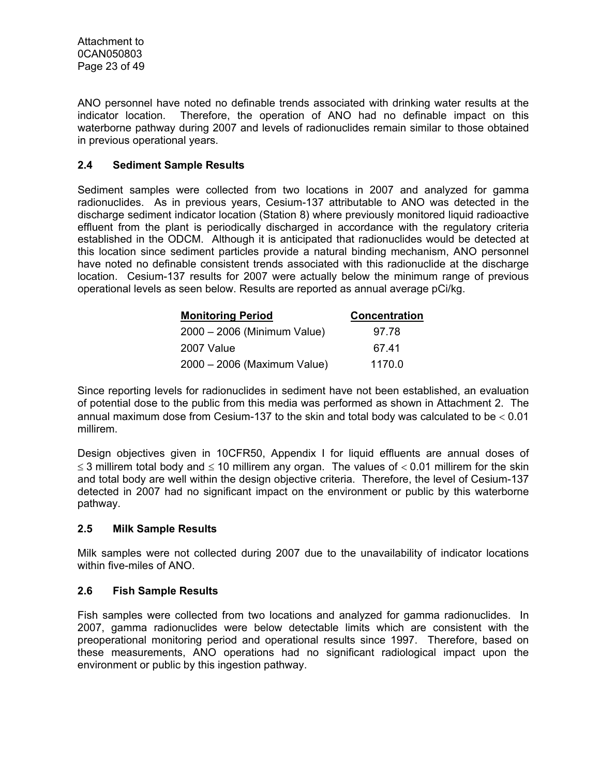ANO personnel have noted no definable trends associated with drinking water results at the indicator location. Therefore, the operation of ANO had no definable impact on this waterborne pathway during 2007 and levels of radionuclides remain similar to those obtained in previous operational years.

#### **2.4 Sediment Sample Results**

Sediment samples were collected from two locations in 2007 and analyzed for gamma radionuclides. As in previous years, Cesium-137 attributable to ANO was detected in the discharge sediment indicator location (Station 8) where previously monitored liquid radioactive effluent from the plant is periodically discharged in accordance with the regulatory criteria established in the ODCM. Although it is anticipated that radionuclides would be detected at this location since sediment particles provide a natural binding mechanism, ANO personnel have noted no definable consistent trends associated with this radionuclide at the discharge location. Cesium-137 results for 2007 were actually below the minimum range of previous operational levels as seen below. Results are reported as annual average pCi/kg.

| <b>Monitoring Period</b>    | <b>Concentration</b> |
|-----------------------------|----------------------|
| 2000 - 2006 (Minimum Value) | 97.78                |
| 2007 Value                  | 67.41                |
| 2000 - 2006 (Maximum Value) | 1170.0               |

Since reporting levels for radionuclides in sediment have not been established, an evaluation of potential dose to the public from this media was performed as shown in Attachment 2. The annual maximum dose from Cesium-137 to the skin and total body was calculated to be < 0.01 millirem.

Design objectives given in 10CFR50, Appendix I for liquid effluents are annual doses of  $\leq$  3 millirem total body and  $\leq$  10 millirem any organ. The values of  $<$  0.01 millirem for the skin and total body are well within the design objective criteria. Therefore, the level of Cesium-137 detected in 2007 had no significant impact on the environment or public by this waterborne pathway.

#### **2.5 Milk Sample Results**

Milk samples were not collected during 2007 due to the unavailability of indicator locations within five-miles of ANO.

#### **2.6 Fish Sample Results**

Fish samples were collected from two locations and analyzed for gamma radionuclides. In 2007, gamma radionuclides were below detectable limits which are consistent with the preoperational monitoring period and operational results since 1997. Therefore, based on these measurements, ANO operations had no significant radiological impact upon the environment or public by this ingestion pathway.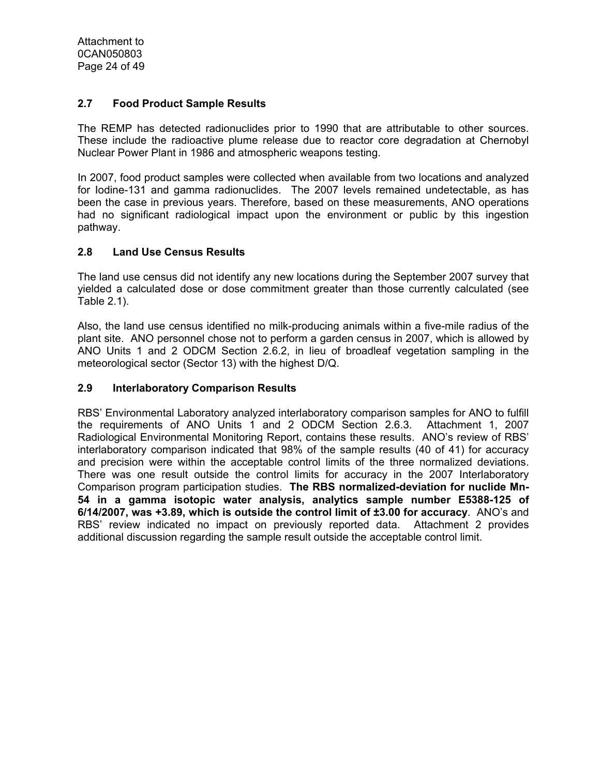#### **2.7 Food Product Sample Results**

The REMP has detected radionuclides prior to 1990 that are attributable to other sources. These include the radioactive plume release due to reactor core degradation at Chernobyl Nuclear Power Plant in 1986 and atmospheric weapons testing.

In 2007, food product samples were collected when available from two locations and analyzed for Iodine-131 and gamma radionuclides. The 2007 levels remained undetectable, as has been the case in previous years. Therefore, based on these measurements, ANO operations had no significant radiological impact upon the environment or public by this ingestion pathway.

#### **2.8 Land Use Census Results**

The land use census did not identify any new locations during the September 2007 survey that yielded a calculated dose or dose commitment greater than those currently calculated (see Table 2.1).

Also, the land use census identified no milk-producing animals within a five-mile radius of the plant site. ANO personnel chose not to perform a garden census in 2007, which is allowed by ANO Units 1 and 2 ODCM Section 2.6.2, in lieu of broadleaf vegetation sampling in the meteorological sector (Sector 13) with the highest D/Q.

#### **2.9 Interlaboratory Comparison Results**

RBS' Environmental Laboratory analyzed interlaboratory comparison samples for ANO to fulfill the requirements of ANO Units 1 and 2 ODCM Section 2.6.3. Attachment 1, 2007 Radiological Environmental Monitoring Report, contains these results. ANO's review of RBS' interlaboratory comparison indicated that 98% of the sample results (40 of 41) for accuracy and precision were within the acceptable control limits of the three normalized deviations. There was one result outside the control limits for accuracy in the 2007 Interlaboratory Comparison program participation studies. **The RBS normalized-deviation for nuclide Mn-54 in a gamma isotopic water analysis, analytics sample number E5388-125 of 6/14/2007, was +3.89, which is outside the control limit of ±3.00 for accuracy**. ANO's and RBS' review indicated no impact on previously reported data. Attachment 2 provides additional discussion regarding the sample result outside the acceptable control limit.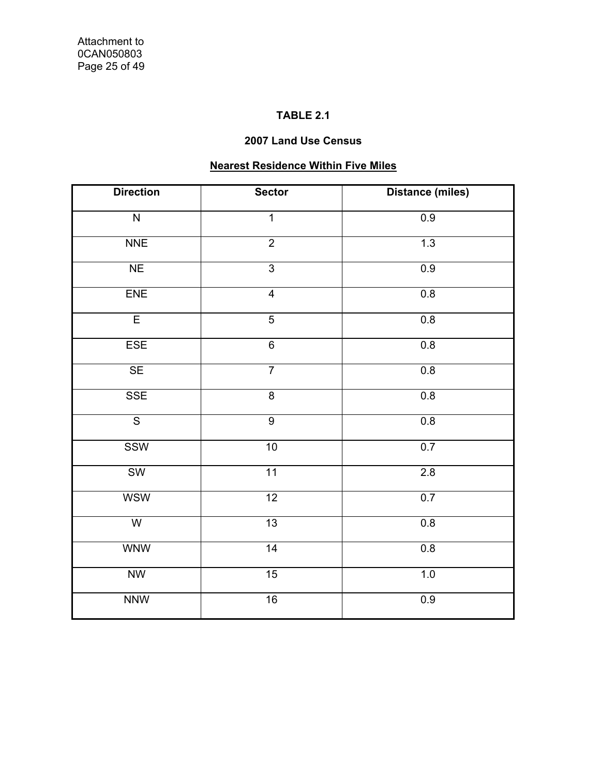## **TABLE 2.1**

## **2007 Land Use Census**

## **Nearest Residence Within Five Miles**

| <b>Direction</b>        | <b>Sector</b>           | <b>Distance (miles)</b> |
|-------------------------|-------------------------|-------------------------|
| $\overline{N}$          | $\overline{1}$          | 0.9                     |
| <b>NNE</b>              | $\overline{2}$          | 1.3                     |
| NE                      | $\overline{3}$          | 0.9                     |
| ENE                     | $\overline{\mathbf{4}}$ | $0.8\,$                 |
| $\overline{E}$          | $\overline{5}$          | 0.8                     |
| <b>ESE</b>              | $\overline{6}$          | 0.8                     |
| SE                      | $\overline{7}$          | 0.8                     |
| <b>SSE</b>              | $\overline{8}$          | 0.8                     |
| $\overline{\mathsf{s}}$ | $\overline{9}$          | 0.8                     |
| <b>SSW</b>              | 10                      | 0.7                     |
| <b>SW</b>               | 11                      | 2.8                     |
| <b>WSW</b>              | 12                      | 0.7                     |
| $\overline{W}$          | 13                      | 0.8                     |
| <b>WNW</b>              | 14                      | 0.8                     |
| <b>NW</b>               | 15                      | 1.0                     |
| <b>NNW</b>              | 16                      | 0.9                     |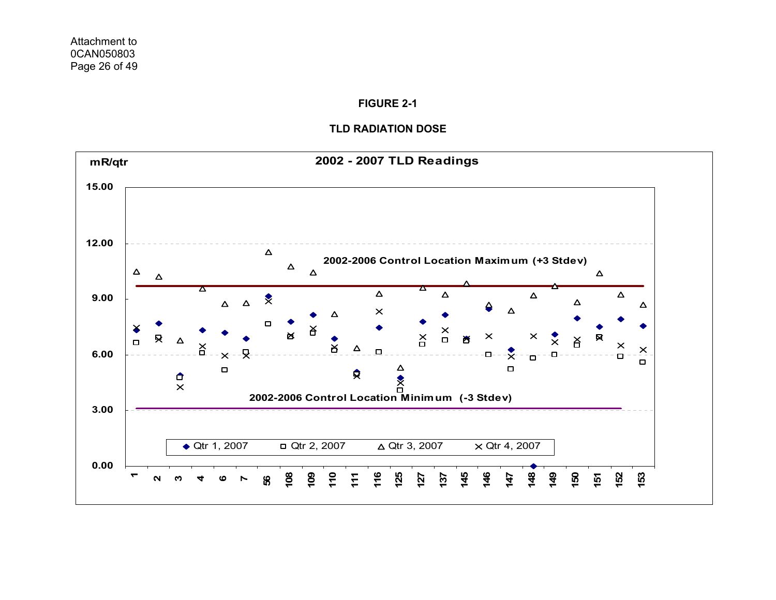#### **FIGURE 2-1**

#### **TLD RADIATION DOSE**

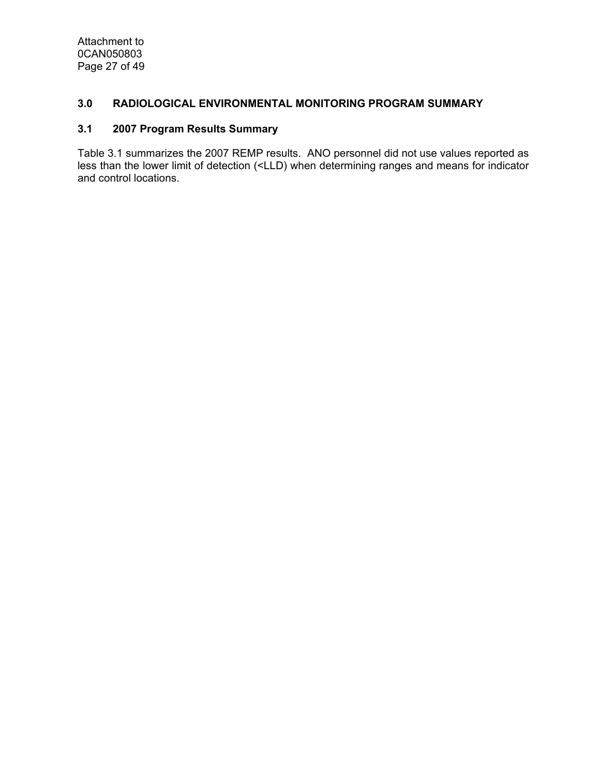Attachment to 0CAN050803 Page 27 of 49

#### **3.0 RADIOLOGICAL ENVIRONMENTAL MONITORING PROGRAM SUMMARY**

#### **3.1 2007 Program Results Summary**

Table 3.1 summarizes the 2007 REMP results. ANO personnel did not use values reported as less than the lower limit of detection (<LLD) when determining ranges and means for indicator and control locations.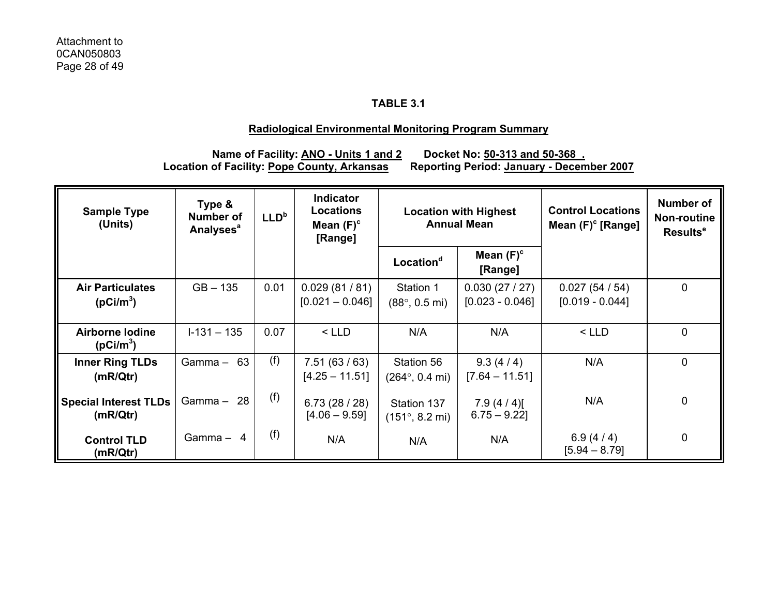## **TABLE 3.1**

#### **Radiological Environmental Monitoring Program Summary**

# **Name of Facility: <u>ANO - Units 1 and 2</u> Docket No: 50-313 and 50-368.<br>Location of Facility: Pope County, Arkansas Reporting Period: January - Decem**

**Reporting Period: January - December 2007** 

| <b>Sample Type</b><br>(Units)                    | Type &<br><b>Number of</b><br><b>Analyses<sup>a</sup></b> | LLD <sup>b</sup> | <b>Indicator</b><br><b>Locations</b><br>Mean $(F)^c$<br>[Range] | <b>Location with Highest</b><br><b>Annual Mean</b> |                                   | <b>Control Locations</b><br>Mean $(F)^c$ [Range] | <b>Number of</b><br><b>Non-routine</b><br>Results <sup>e</sup> |
|--------------------------------------------------|-----------------------------------------------------------|------------------|-----------------------------------------------------------------|----------------------------------------------------|-----------------------------------|--------------------------------------------------|----------------------------------------------------------------|
|                                                  |                                                           |                  |                                                                 | Location <sup>d</sup>                              | Mean $(F)^c$<br>[Range]           |                                                  |                                                                |
| <b>Air Particulates</b><br>(pCi/m <sup>3</sup> ) | $GB - 135$                                                | 0.01             | 0.029(81/81)<br>$[0.021 - 0.046]$                               | Station 1<br>$(88^{\circ}, 0.5 \text{ mi})$        | 0.030(27/27)<br>$[0.023 - 0.046]$ | 0.027(54/54)<br>$[0.019 - 0.044]$                | $\mathbf 0$                                                    |
| <b>Airborne lodine</b><br>(pCi/m <sup>3</sup> )  | $I-131 - 135$                                             | 0.07             | $<$ LLD                                                         | N/A                                                | N/A                               | $<$ LLD                                          | $\mathbf 0$                                                    |
| <b>Inner Ring TLDs</b><br>(mR/Qtr)               | Gamma $- 63$                                              | (f)              | 7.51(63/63)<br>$[4.25 - 11.51]$                                 | Station 56<br>$(264^{\circ}, 0.4 \text{ mi})$      | 9.3(4/4)<br>$[7.64 - 11.51]$      | N/A                                              | $\mathbf 0$                                                    |
| <b>Special Interest TLDs</b><br>(mR/Qtr)         | Gamma $-28$                                               | (f)              | 6.73(28/28)<br>$[4.06 - 9.59]$                                  | Station 137<br>$(151^{\circ}, 8.2 \text{ mi})$     | $7.9(4/4)$ [<br>$6.75 - 9.22$ ]   | N/A                                              | $\mathbf 0$                                                    |
| <b>Control TLD</b><br>(mR/Qtr)                   | Gamma $-4$                                                | (f)              | N/A                                                             | N/A                                                | N/A                               | 6.9(4/4)<br>$[5.94 - 8.79]$                      | $\mathbf 0$                                                    |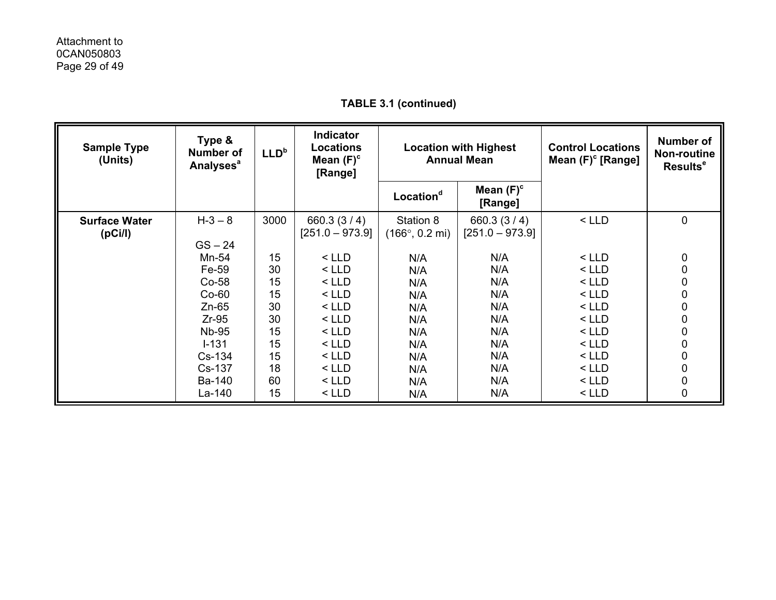| <b>Sample Type</b><br>(Units)   | Type &<br><b>Number of</b><br><b>Analyses<sup>a</sup></b>                                                     | LLD <sup>b</sup>                                         | <b>Indicator</b><br><b>Locations</b><br>Mean $(F)^c$<br>[Range]                                            | <b>Location with Highest</b><br><b>Annual Mean</b>                 |                                                                    | <b>Control Locations</b><br>Mean $(F)^c$ [Range]                                                           | Number of<br><b>Non-routine</b><br><b>Results<sup>e</sup></b> |
|---------------------------------|---------------------------------------------------------------------------------------------------------------|----------------------------------------------------------|------------------------------------------------------------------------------------------------------------|--------------------------------------------------------------------|--------------------------------------------------------------------|------------------------------------------------------------------------------------------------------------|---------------------------------------------------------------|
|                                 |                                                                                                               |                                                          |                                                                                                            | Location <sup>d</sup>                                              | Mean $(F)^c$<br>[Range]                                            |                                                                                                            |                                                               |
| <b>Surface Water</b><br>(pCi/l) | $H - 3 - 8$<br>$GS - 24$                                                                                      | 3000                                                     | 660.3 $(3/4)$<br>$[251.0 - 973.9]$                                                                         | Station 8<br>$(166^{\circ}, 0.2 \text{ mi})$                       | 660.3 $(3/4)$<br>$[251.0 - 973.9]$                                 | $<$ LLD                                                                                                    | 0                                                             |
|                                 | Mn-54<br>Fe-59<br>$Co-58$<br>$Co-60$<br>$Zn-65$<br>$Zr-95$<br><b>Nb-95</b><br>$I - 131$<br>$Cs-134$<br>Cs-137 | 15<br>30<br>15<br>15<br>30<br>30<br>15<br>15<br>15<br>18 | $<$ LLD<br>$<$ LLD<br>$<$ LLD<br>$<$ LLD<br>$<$ LLD<br>$<$ LLD<br>$<$ LLD<br>$<$ LLD<br>$<$ LLD<br>$<$ LLD | N/A<br>N/A<br>N/A<br>N/A<br>N/A<br>N/A<br>N/A<br>N/A<br>N/A<br>N/A | N/A<br>N/A<br>N/A<br>N/A<br>N/A<br>N/A<br>N/A<br>N/A<br>N/A<br>N/A | $<$ LLD<br>$<$ LLD<br>$<$ LLD<br>$<$ LLD<br>$<$ LLD<br>$<$ LLD<br>$<$ LLD<br>$<$ LLD<br>$<$ LLD<br>$<$ LLD | 0<br>0<br>0<br>0<br>0<br>0<br>0<br>0<br>0<br>0                |
|                                 | Ba-140<br>La-140                                                                                              | 60<br>15                                                 | $<$ LLD<br>$<$ LLD                                                                                         | N/A<br>N/A                                                         | N/A<br>N/A                                                         | $<$ LLD<br>$<$ LLD                                                                                         | 0<br>0                                                        |

## **TABLE 3.1 (continued)**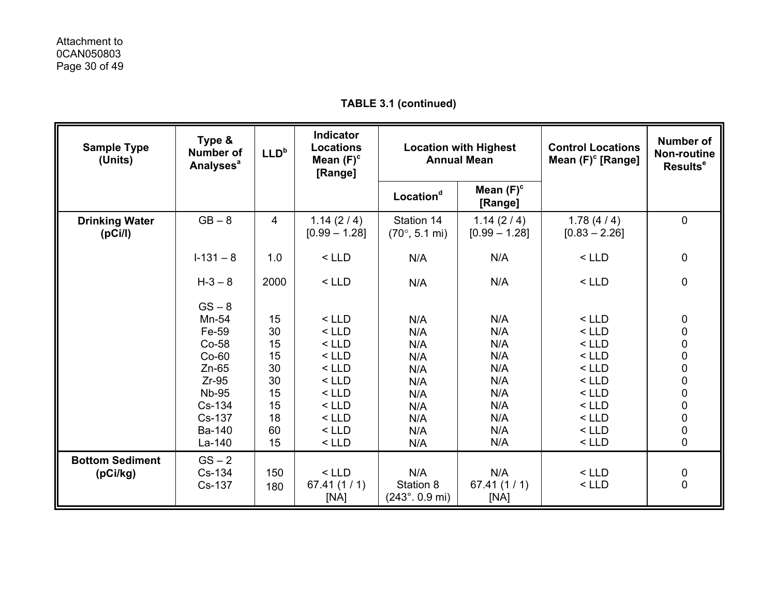| <b>Sample Type</b><br>(Units)    | Type &<br><b>Number of</b><br><b>Analyses<sup>a</sup></b> | LLD <sup>b</sup> | <b>Indicator</b><br><b>Locations</b><br>Mean $(F)^c$<br>[Range] | <b>Location with Highest</b><br><b>Annual Mean</b> |                              | <b>Control Locations</b><br>Mean $(F)^c$ [Range] | <b>Number of</b><br>Non-routine<br>Results <sup>e</sup> |
|----------------------------------|-----------------------------------------------------------|------------------|-----------------------------------------------------------------|----------------------------------------------------|------------------------------|--------------------------------------------------|---------------------------------------------------------|
|                                  |                                                           |                  |                                                                 | Location <sup>d</sup>                              | Mean $(F)^c$<br>[Range]      |                                                  |                                                         |
| <b>Drinking Water</b><br>(pCi/l) | $GB - 8$                                                  | 4                | 1.14(2/4)<br>$[0.99 - 1.28]$                                    | Station 14<br>$(70^{\circ}, 5.1 \text{ mi})$       | 1.14(2/4)<br>$[0.99 - 1.28]$ | 1.78(4/4)<br>$[0.83 - 2.26]$                     | 0                                                       |
|                                  | $1-131-8$                                                 | 1.0              | $<$ LLD                                                         | N/A                                                | N/A                          | $<$ LLD                                          | $\pmb{0}$                                               |
|                                  | $H - 3 - 8$                                               | 2000             | $<$ LLD                                                         | N/A                                                | N/A                          | $<$ LLD                                          | $\pmb{0}$                                               |
|                                  | $GS - 8$                                                  |                  |                                                                 |                                                    |                              |                                                  |                                                         |
|                                  | Mn-54                                                     | 15               | $<$ LLD                                                         | N/A                                                | N/A                          | $<$ LLD                                          | $\pmb{0}$                                               |
|                                  | Fe-59                                                     | 30               | $<$ LLD                                                         | N/A                                                | N/A                          | $<$ LLD                                          |                                                         |
|                                  | Co-58                                                     | 15               | $<$ LLD                                                         | N/A                                                | N/A                          | $<$ LLD                                          | $\begin{matrix}0\\0\end{matrix}$                        |
|                                  | $Co-60$                                                   | 15               | $<$ LLD                                                         | N/A                                                | N/A                          | $<$ LLD                                          | $\begin{matrix}0\\0\end{matrix}$                        |
|                                  | $Zn-65$                                                   | 30               | $<$ LLD                                                         | N/A                                                | N/A                          | $<$ LLD                                          |                                                         |
|                                  | $Zr-95$                                                   | 30               | $<$ LLD                                                         | N/A                                                | N/A                          | $<$ LLD                                          | $\bf{0}$                                                |
|                                  | <b>Nb-95</b>                                              | 15               | $<$ LLD                                                         | N/A                                                | N/A                          | $<$ LLD                                          | $\begin{matrix}0\\0\end{matrix}$                        |
|                                  | Cs-134                                                    | 15               | $<$ LLD                                                         | N/A                                                | N/A                          | $<$ LLD                                          |                                                         |
|                                  | Cs-137                                                    | 18               | $<$ LLD                                                         | N/A                                                | N/A                          | $<$ LLD                                          | $\begin{matrix}0\\0\end{matrix}$                        |
|                                  | Ba-140                                                    | 60               | $<$ LLD                                                         | N/A                                                | N/A                          | $<$ LLD                                          |                                                         |
|                                  | La-140                                                    | 15               | $<$ LLD                                                         | N/A                                                | N/A                          | $<$ LLD                                          | $\mathbf 0$                                             |
| <b>Bottom Sediment</b>           | $GS - 2$                                                  |                  |                                                                 |                                                    |                              |                                                  |                                                         |
| (pCi/kg)                         | Cs-134                                                    | 150              | $<$ LLD                                                         | N/A                                                | N/A                          | $<$ LLD                                          | 0                                                       |
|                                  | Cs-137                                                    | 180              | 67.41(1/1)<br>[NA]                                              | Station 8<br>$(243^{\circ}$ . 0.9 mi)              | 67.41(1/1)<br>[NA]           | $<$ LLD                                          | $\mathbf 0$                                             |

**TABLE 3.1 (continued)**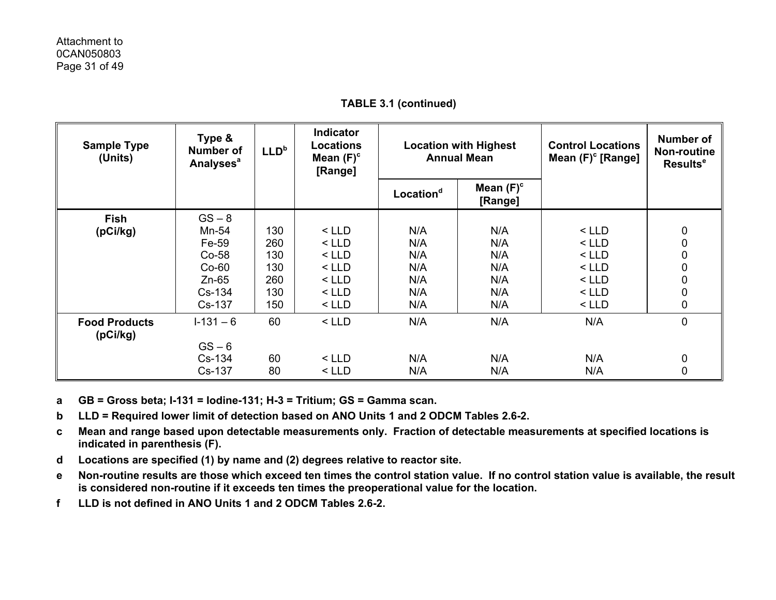| <b>Sample Type</b><br>(Units)    | Type &<br><b>Number of</b><br>Analyses <sup>a</sup> | LLD <sup>b</sup> | <b>Indicator</b><br>Locations<br>Mean $(F)^c$<br>[Range] | <b>Location with Highest</b><br><b>Annual Mean</b> |                         | <b>Control Locations</b><br>Mean $(F)^c$ [Range] | Number of<br><b>Non-routine</b><br>Results <sup>e</sup> |
|----------------------------------|-----------------------------------------------------|------------------|----------------------------------------------------------|----------------------------------------------------|-------------------------|--------------------------------------------------|---------------------------------------------------------|
|                                  |                                                     |                  |                                                          | Location <sup>d</sup>                              | Mean $(F)^c$<br>[Range] |                                                  |                                                         |
| <b>Fish</b>                      | $GS - 8$                                            |                  |                                                          |                                                    |                         |                                                  |                                                         |
| (pCi/kg)                         | Mn-54                                               | 130              | $<$ LLD                                                  | N/A                                                | N/A                     | $<$ LLD                                          | 0                                                       |
|                                  | Fe-59                                               | 260              | $<$ LLD                                                  | N/A                                                | N/A                     | $<$ LLD                                          | $\pmb{0}$                                               |
|                                  | $Co-58$                                             | 130              | $<$ LLD                                                  | N/A                                                | N/A                     | $<$ LLD                                          | $\pmb{0}$                                               |
|                                  | $Co-60$                                             | 130              | $<$ LLD                                                  | N/A                                                | N/A                     | $<$ LLD                                          | $\pmb{0}$                                               |
|                                  | $Zn-65$                                             | 260              | $<$ LLD                                                  | N/A                                                | N/A                     | $<$ LLD                                          | $\pmb{0}$                                               |
|                                  | Cs-134                                              | 130              | $<$ LLD                                                  | N/A                                                | N/A                     | $<$ LLD                                          | $\pmb{0}$                                               |
|                                  | Cs-137                                              | 150              | $<$ LLD                                                  | N/A                                                | N/A                     | $<$ LLD                                          | $\mathbf 0$                                             |
| <b>Food Products</b><br>(pCi/kg) | $1 - 131 - 6$                                       | 60               | $<$ LLD                                                  | N/A                                                | N/A                     | N/A                                              | $\pmb{0}$                                               |
|                                  | $GS - 6$                                            |                  |                                                          |                                                    |                         |                                                  |                                                         |
|                                  | Cs-134                                              | 60               | $<$ LLD                                                  | N/A                                                | N/A                     | N/A                                              | 0                                                       |
|                                  | Cs-137                                              | 80               | $<$ LLD                                                  | N/A                                                | N/A                     | N/A                                              | 0                                                       |

**TABLE 3.1 (continued)** 

**a GB = Gross beta; I-131 = Iodine-131; H-3 = Tritium; GS = Gamma scan.** 

**b LLD = Required lower limit of detection based on ANO Units 1 and 2 ODCM Tables 2.6-2.** 

**c Mean and range based upon detectable measurements only. Fraction of detectable measurements at specified locations is indicated in parenthesis (F).** 

- **d Locations are specified (1) by name and (2) degrees relative to reactor site.**
- **e Non-routine results are those which exceed ten times the control station value. If no control station value is available, the result is considered non-routine if it exceeds ten times the preoperational value for the location.**
- **f LLD is not defined in ANO Units 1 and 2 ODCM Tables 2.6-2.**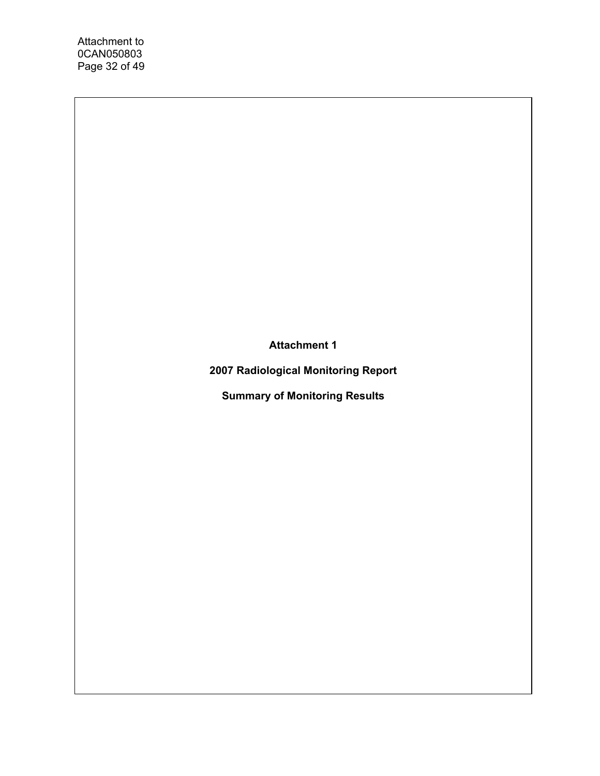Attachment to 0CAN050803 Page 32 of 49

**Attachment 1** 

**2007 Radiological Monitoring Report** 

**Summary of Monitoring Results**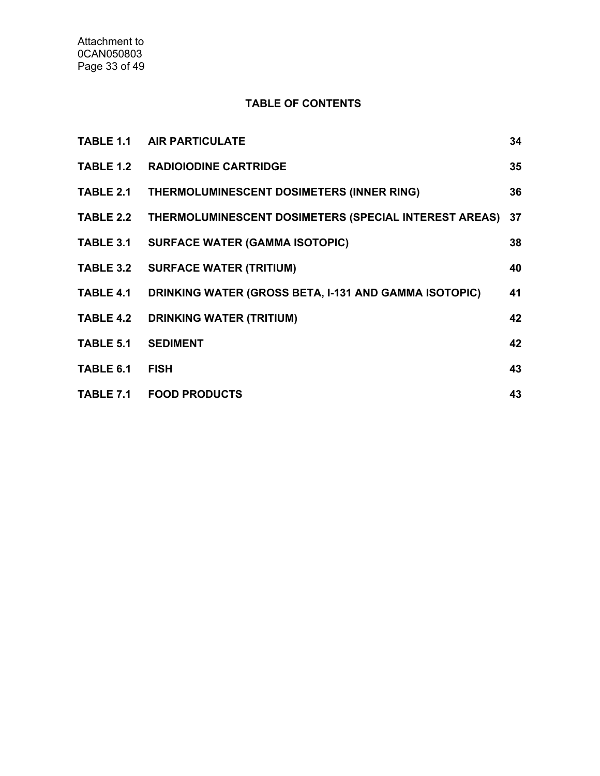## **TABLE OF CONTENTS**

|                  | <b>TABLE 1.1 AIR PARTICULATE</b>                                | 34 |
|------------------|-----------------------------------------------------------------|----|
|                  | <b>TABLE 1.2 RADIOIODINE CARTRIDGE</b>                          | 35 |
|                  | TABLE 2.1 THERMOLUMINESCENT DOSIMETERS (INNER RING)             | 36 |
|                  | TABLE 2.2 THERMOLUMINESCENT DOSIMETERS (SPECIAL INTEREST AREAS) | 37 |
| TABLE 3.1        | <b>SURFACE WATER (GAMMA ISOTOPIC)</b>                           | 38 |
|                  | TABLE 3.2 SURFACE WATER (TRITIUM)                               | 40 |
| TABLE 4.1        | DRINKING WATER (GROSS BETA, I-131 AND GAMMA ISOTOPIC)           | 41 |
| <b>TABLE 4.2</b> | <b>DRINKING WATER (TRITIUM)</b>                                 | 42 |
| TABLE 5.1        | <b>SEDIMENT</b>                                                 | 42 |
| TABLE 6.1        | <b>FISH</b>                                                     | 43 |
|                  | TABLE 7.1 FOOD PRODUCTS                                         | 43 |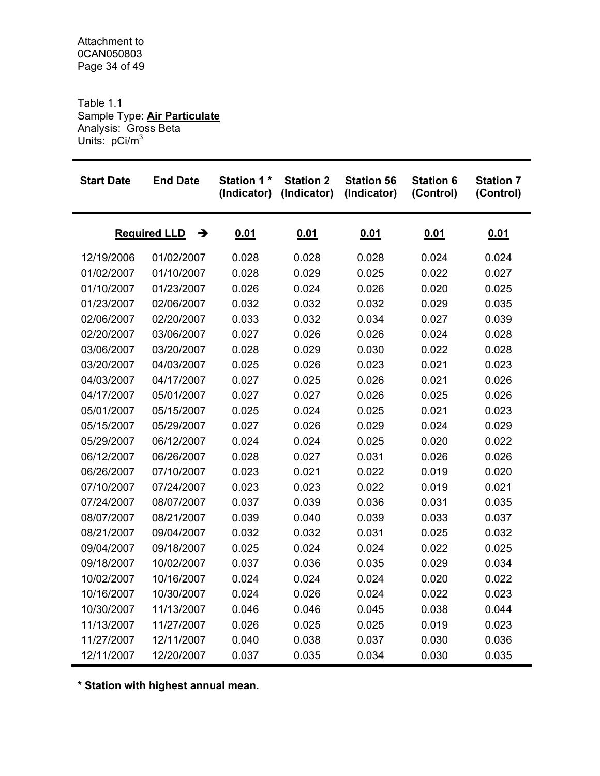Table 1.1 Sample Type: **Air Particulate** Analysis: Gross Beta Units: pCi/m<sup>3</sup>

| <b>Start Date</b>        | <b>End Date</b> | <b>Station 1*</b><br>(Indicator) | <b>Station 2</b><br>(Indicator) | <b>Station 56</b><br>(Indicator) | <b>Station 6</b><br>(Control) | <b>Station 7</b><br>(Control) |
|--------------------------|-----------------|----------------------------------|---------------------------------|----------------------------------|-------------------------------|-------------------------------|
| <b>Required LLD</b><br>→ |                 | 0.01                             | 0.01                            | 0.01                             | <u>0.01</u>                   | <u>0.01</u>                   |
| 12/19/2006               | 01/02/2007      | 0.028                            | 0.028                           | 0.028                            | 0.024                         | 0.024                         |
| 01/02/2007               | 01/10/2007      | 0.028                            | 0.029                           | 0.025                            | 0.022                         | 0.027                         |
| 01/10/2007               | 01/23/2007      | 0.026                            | 0.024                           | 0.026                            | 0.020                         | 0.025                         |
| 01/23/2007               | 02/06/2007      | 0.032                            | 0.032                           | 0.032                            | 0.029                         | 0.035                         |
| 02/06/2007               | 02/20/2007      | 0.033                            | 0.032                           | 0.034                            | 0.027                         | 0.039                         |
| 02/20/2007               | 03/06/2007      | 0.027                            | 0.026                           | 0.026                            | 0.024                         | 0.028                         |
| 03/06/2007               | 03/20/2007      | 0.028                            | 0.029                           | 0.030                            | 0.022                         | 0.028                         |
| 03/20/2007               | 04/03/2007      | 0.025                            | 0.026                           | 0.023                            | 0.021                         | 0.023                         |
| 04/03/2007               | 04/17/2007      | 0.027                            | 0.025                           | 0.026                            | 0.021                         | 0.026                         |
| 04/17/2007               | 05/01/2007      | 0.027                            | 0.027                           | 0.026                            | 0.025                         | 0.026                         |
| 05/01/2007               | 05/15/2007      | 0.025                            | 0.024                           | 0.025                            | 0.021                         | 0.023                         |
| 05/15/2007               | 05/29/2007      | 0.027                            | 0.026                           | 0.029                            | 0.024                         | 0.029                         |
| 05/29/2007               | 06/12/2007      | 0.024                            | 0.024                           | 0.025                            | 0.020                         | 0.022                         |
| 06/12/2007               | 06/26/2007      | 0.028                            | 0.027                           | 0.031                            | 0.026                         | 0.026                         |
| 06/26/2007               | 07/10/2007      | 0.023                            | 0.021                           | 0.022                            | 0.019                         | 0.020                         |
| 07/10/2007               | 07/24/2007      | 0.023                            | 0.023                           | 0.022                            | 0.019                         | 0.021                         |
| 07/24/2007               | 08/07/2007      | 0.037                            | 0.039                           | 0.036                            | 0.031                         | 0.035                         |
| 08/07/2007               | 08/21/2007      | 0.039                            | 0.040                           | 0.039                            | 0.033                         | 0.037                         |
| 08/21/2007               | 09/04/2007      | 0.032                            | 0.032                           | 0.031                            | 0.025                         | 0.032                         |
| 09/04/2007               | 09/18/2007      | 0.025                            | 0.024                           | 0.024                            | 0.022                         | 0.025                         |
| 09/18/2007               | 10/02/2007      | 0.037                            | 0.036                           | 0.035                            | 0.029                         | 0.034                         |
| 10/02/2007               | 10/16/2007      | 0.024                            | 0.024                           | 0.024                            | 0.020                         | 0.022                         |
| 10/16/2007               | 10/30/2007      | 0.024                            | 0.026                           | 0.024                            | 0.022                         | 0.023                         |
| 10/30/2007               | 11/13/2007      | 0.046                            | 0.046                           | 0.045                            | 0.038                         | 0.044                         |
| 11/13/2007               | 11/27/2007      | 0.026                            | 0.025                           | 0.025                            | 0.019                         | 0.023                         |
| 11/27/2007               | 12/11/2007      | 0.040                            | 0.038                           | 0.037                            | 0.030                         | 0.036                         |
| 12/11/2007               | 12/20/2007      | 0.037                            | 0.035                           | 0.034                            | 0.030                         | 0.035                         |

**\* Station with highest annual mean.**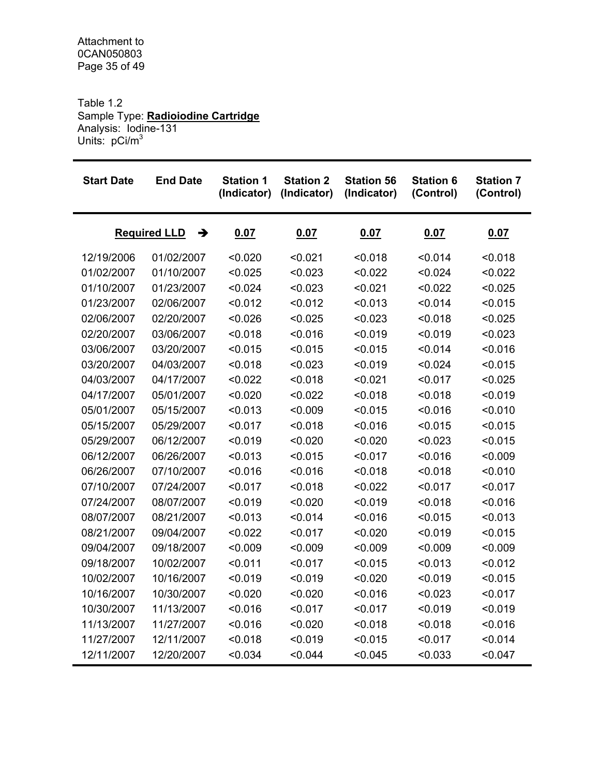Table 1.2 Sample Type: **Radioiodine Cartridge** Analysis: Iodine-131 Units: pCi/m<sup>3</sup>

| <b>Start Date</b>        | <b>End Date</b> | <b>Station 1</b><br>(Indicator) | <b>Station 2</b><br>(Indicator) | <b>Station 56</b><br>(Indicator) | <b>Station 6</b><br>(Control) | <b>Station 7</b><br>(Control) |
|--------------------------|-----------------|---------------------------------|---------------------------------|----------------------------------|-------------------------------|-------------------------------|
| <b>Required LLD</b><br>→ |                 | 0.07                            | 0.07                            | 0.07                             | 0.07                          | 0.07                          |
| 12/19/2006               | 01/02/2007      | < 0.020                         | < 0.021                         | < 0.018                          | < 0.014                       | < 0.018                       |
| 01/02/2007               | 01/10/2007      | < 0.025                         | < 0.023                         | < 0.022                          | < 0.024                       | < 0.022                       |
| 01/10/2007               | 01/23/2007      | < 0.024                         | < 0.023                         | < 0.021                          | < 0.022                       | < 0.025                       |
| 01/23/2007               | 02/06/2007      | < 0.012                         | < 0.012                         | < 0.013                          | < 0.014                       | < 0.015                       |
| 02/06/2007               | 02/20/2007      | < 0.026                         | < 0.025                         | < 0.023                          | < 0.018                       | < 0.025                       |
| 02/20/2007               | 03/06/2007      | < 0.018                         | < 0.016                         | < 0.019                          | < 0.019                       | < 0.023                       |
| 03/06/2007               | 03/20/2007      | < 0.015                         | < 0.015                         | < 0.015                          | < 0.014                       | < 0.016                       |
| 03/20/2007               | 04/03/2007      | < 0.018                         | < 0.023                         | < 0.019                          | < 0.024                       | < 0.015                       |
| 04/03/2007               | 04/17/2007      | < 0.022                         | < 0.018                         | < 0.021                          | < 0.017                       | < 0.025                       |
| 04/17/2007               | 05/01/2007      | < 0.020                         | < 0.022                         | < 0.018                          | < 0.018                       | < 0.019                       |
| 05/01/2007               | 05/15/2007      | < 0.013                         | < 0.009                         | < 0.015                          | < 0.016                       | < 0.010                       |
| 05/15/2007               | 05/29/2007      | < 0.017                         | < 0.018                         | < 0.016                          | < 0.015                       | < 0.015                       |
| 05/29/2007               | 06/12/2007      | < 0.019                         | < 0.020                         | < 0.020                          | < 0.023                       | < 0.015                       |
| 06/12/2007               | 06/26/2007      | < 0.013                         | < 0.015                         | < 0.017                          | < 0.016                       | < 0.009                       |
| 06/26/2007               | 07/10/2007      | < 0.016                         | < 0.016                         | < 0.018                          | < 0.018                       | < 0.010                       |
| 07/10/2007               | 07/24/2007      | < 0.017                         | < 0.018                         | < 0.022                          | < 0.017                       | < 0.017                       |
| 07/24/2007               | 08/07/2007      | < 0.019                         | < 0.020                         | < 0.019                          | < 0.018                       | < 0.016                       |
| 08/07/2007               | 08/21/2007      | < 0.013                         | < 0.014                         | < 0.016                          | < 0.015                       | < 0.013                       |
| 08/21/2007               | 09/04/2007      | < 0.022                         | < 0.017                         | < 0.020                          | < 0.019                       | < 0.015                       |
| 09/04/2007               | 09/18/2007      | < 0.009                         | < 0.009                         | < 0.009                          | < 0.009                       | < 0.009                       |
| 09/18/2007               | 10/02/2007      | < 0.011                         | < 0.017                         | < 0.015                          | < 0.013                       | < 0.012                       |
| 10/02/2007               | 10/16/2007      | < 0.019                         | < 0.019                         | < 0.020                          | < 0.019                       | < 0.015                       |
| 10/16/2007               | 10/30/2007      | < 0.020                         | < 0.020                         | < 0.016                          | < 0.023                       | < 0.017                       |
| 10/30/2007               | 11/13/2007      | < 0.016                         | < 0.017                         | < 0.017                          | < 0.019                       | < 0.019                       |
| 11/13/2007               | 11/27/2007      | < 0.016                         | < 0.020                         | < 0.018                          | < 0.018                       | < 0.016                       |
| 11/27/2007               | 12/11/2007      | < 0.018                         | < 0.019                         | < 0.015                          | < 0.017                       | < 0.014                       |
| 12/11/2007               | 12/20/2007      | < 0.034                         | < 0.044                         | < 0.045                          | < 0.033                       | < 0.047                       |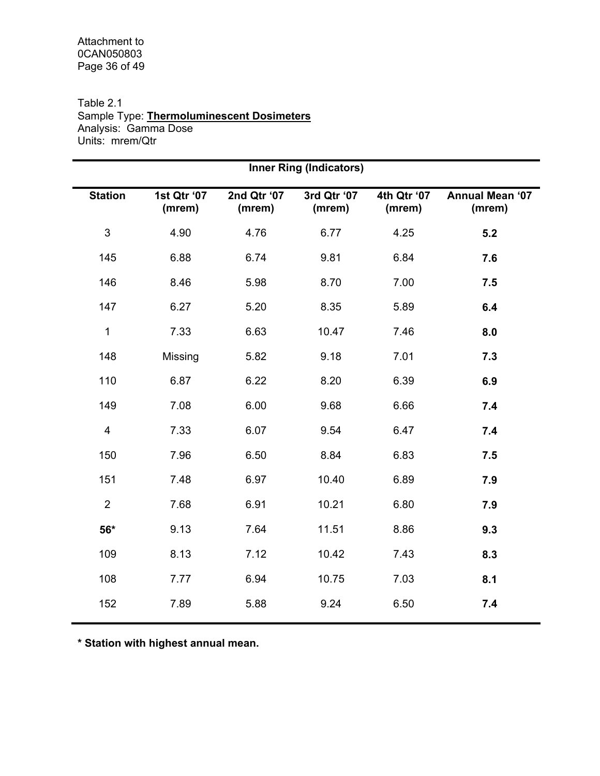#### Table 2.1 Sample Type: **Thermoluminescent Dosimeters** Analysis: Gamma Dose Units: mrem/Qtr

| <b>Inner Ring (Indicators)</b> |                       |                       |                       |                                  |  |  |  |  |  |  |  |
|--------------------------------|-----------------------|-----------------------|-----------------------|----------------------------------|--|--|--|--|--|--|--|
| 1st Qtr '07<br>(mrem)          | 2nd Qtr '07<br>(mrem) | 3rd Qtr '07<br>(mrem) | 4th Qtr '07<br>(mrem) | <b>Annual Mean '07</b><br>(mrem) |  |  |  |  |  |  |  |
| 4.90                           | 4.76                  | 6.77                  | 4.25                  | 5.2                              |  |  |  |  |  |  |  |
| 6.88                           | 6.74                  | 9.81                  | 6.84                  | 7.6                              |  |  |  |  |  |  |  |
| 8.46                           | 5.98                  | 8.70                  | 7.00                  | 7.5                              |  |  |  |  |  |  |  |
| 6.27                           | 5.20                  | 8.35                  | 5.89                  | 6.4                              |  |  |  |  |  |  |  |
| 7.33                           | 6.63                  | 10.47                 | 7.46                  | 8.0                              |  |  |  |  |  |  |  |
| Missing                        | 5.82                  | 9.18                  | 7.01                  | 7.3                              |  |  |  |  |  |  |  |
| 6.87                           | 6.22                  | 8.20                  | 6.39                  | 6.9                              |  |  |  |  |  |  |  |
| 7.08                           | 6.00                  | 9.68                  | 6.66                  | 7.4                              |  |  |  |  |  |  |  |
| 7.33                           | 6.07                  | 9.54                  | 6.47                  | 7.4                              |  |  |  |  |  |  |  |
| 7.96                           | 6.50                  | 8.84                  | 6.83                  | 7.5                              |  |  |  |  |  |  |  |
| 7.48                           | 6.97                  | 10.40                 | 6.89                  | 7.9                              |  |  |  |  |  |  |  |
| 7.68                           | 6.91                  | 10.21                 | 6.80                  | 7.9                              |  |  |  |  |  |  |  |
| 9.13                           | 7.64                  | 11.51                 | 8.86                  | 9.3                              |  |  |  |  |  |  |  |
| 8.13                           | 7.12                  | 10.42                 | 7.43                  | 8.3                              |  |  |  |  |  |  |  |
| 7.77                           | 6.94                  | 10.75                 | 7.03                  | 8.1                              |  |  |  |  |  |  |  |
| 7.89                           | 5.88                  | 9.24                  | 6.50                  | 7.4                              |  |  |  |  |  |  |  |
|                                |                       |                       |                       |                                  |  |  |  |  |  |  |  |

**\* Station with highest annual mean.**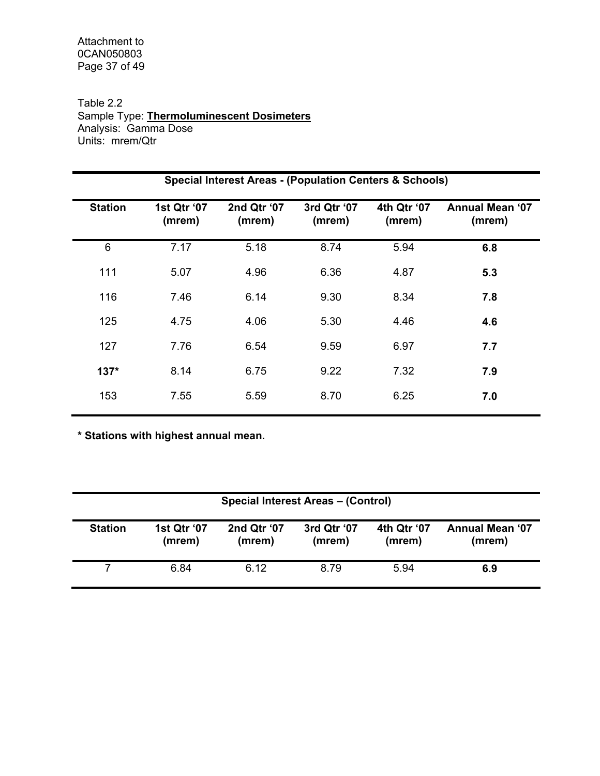Attachment to 0CAN050803 Page 37 of 49

#### Table 2.2 Sample Type: **Thermoluminescent Dosimeters** Analysis: Gamma Dose Units: mrem/Qtr

|                | <b>Special Interest Areas - (Population Centers &amp; Schools)</b> |                       |                       |                       |                                  |  |  |  |  |  |  |  |
|----------------|--------------------------------------------------------------------|-----------------------|-----------------------|-----------------------|----------------------------------|--|--|--|--|--|--|--|
| <b>Station</b> | 1st Qtr '07<br>(mrem)                                              | 2nd Qtr '07<br>(mrem) | 3rd Qtr '07<br>(mrem) | 4th Qtr '07<br>(mrem) | <b>Annual Mean '07</b><br>(mrem) |  |  |  |  |  |  |  |
| 6              | 7.17                                                               | 5.18                  | 8.74                  | 5.94                  | 6.8                              |  |  |  |  |  |  |  |
| 111            | 5.07                                                               | 4.96                  | 6.36                  | 4.87                  | 5.3                              |  |  |  |  |  |  |  |
| 116            | 7.46                                                               | 6.14                  | 9.30                  | 8.34                  | 7.8                              |  |  |  |  |  |  |  |
| 125            | 4.75                                                               | 4.06                  | 5.30                  | 4.46                  | 4.6                              |  |  |  |  |  |  |  |
| 127            | 7.76                                                               | 6.54                  | 9.59                  | 6.97                  | 7.7                              |  |  |  |  |  |  |  |
| $137*$         | 8.14                                                               | 6.75                  | 9.22                  | 7.32                  | 7.9                              |  |  |  |  |  |  |  |
| 153            | 7.55                                                               | 5.59                  | 8.70                  | 6.25                  | 7.0                              |  |  |  |  |  |  |  |

**\* Stations with highest annual mean.** 

|                | Special Interest Areas - (Control) |                       |                       |                       |                                  |  |  |  |  |  |  |
|----------------|------------------------------------|-----------------------|-----------------------|-----------------------|----------------------------------|--|--|--|--|--|--|
| <b>Station</b> | 1st Qtr '07<br>(mrem)              | 2nd Qtr '07<br>(mrem) | 3rd Qtr '07<br>(mrem) | 4th Qtr '07<br>(mrem) | <b>Annual Mean '07</b><br>(mrem) |  |  |  |  |  |  |
|                | 6.84                               | 6.12                  | 8.79                  | 5.94                  | 6.9                              |  |  |  |  |  |  |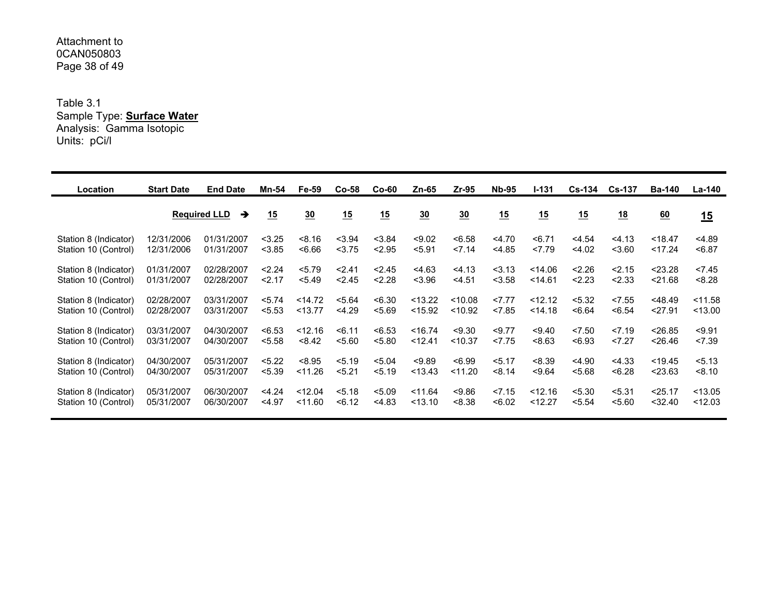#### Attachment to 0CAN050803Page 38 of 49

Table 3.1 Sample Type: **Surface Water** Analysis: Gamma Isotopic Units: pCi/l

| Location              | <b>Start Date</b> | <b>End Date</b>          | Mn-54  | <b>Fe-59</b>   | $Co-58$ | $Co-60$ | Zn-65            | $Zr-95$        | <b>Nb-95</b> | $1 - 131$ | <b>Cs-134</b> | $Cs-137$         | <b>Ba-140</b> | La-140    |
|-----------------------|-------------------|--------------------------|--------|----------------|---------|---------|------------------|----------------|--------------|-----------|---------------|------------------|---------------|-----------|
|                       |                   | <b>Required LLD</b><br>→ | 15     | $\frac{30}{2}$ | 15      | 15      | $\underline{30}$ | $\frac{30}{2}$ | 15           | 15        | 15            | $\underline{18}$ | 60            | 15        |
| Station 8 (Indicator) | 12/31/2006        | 01/31/2007               | < 3.25 | < 8.16         | < 3.94  | < 3.84  | < 9.02           | < 6.58         | < 4.70       | 56.71     | < 4.54        | < 4.13           | < 18.47       | 4.89      |
| Station 10 (Control)  | 12/31/2006        | 01/31/2007               | < 3.85 | 56.66          | < 3.75  | < 2.95  | < 5.91           | 27.14          | $<$ 4.85     | 27.79     | < 4.02        | < 3.60           | < 17.24       | < 6.87    |
| Station 8 (Indicator) | 01/31/2007        | 02/28/2007               | 2.24   | 5.79           | < 2.41  | < 2.45  | < 4.63           | 4.13           | 3.13         | $<$ 14.06 | 2.26          | < 2.15           | < 23.28       | <7.45     |
| Station 10 (Control)  | 01/31/2007        | 02/28/2007               | 2.17   | < 5.49         | 2.45    | < 2.28  | < 3.96           | < 4.51         | < 3.58       | < 14.61   | 2.23          | < 2.33           | < 21.68       | < 8.28    |
| Station 8 (Indicator) | 02/28/2007        | 03/31/2007               | 5.74   | < 14.72        | < 5.64  | <6.30   | < 13.22          | < 10.08        | 27.77        | < 12.12   | < 5.32        | < 7.55           | $<$ 48.49     | $<$ 11.58 |
| Station 10 (Control)  | 02/28/2007        | 03/31/2007               | < 5.53 | < 13.77        | 4.29    | < 5.69  | $<$ 15.92        | < 10.92        | < 7.85       | < 14.18   | < 6.64        | < 6.54           | 27.91         | < 13.00   |
| Station 8 (Indicator) | 03/31/2007        | 04/30/2007               | < 6.53 | < 12.16        | 56.11   | < 6.53  | < 16.74          | < 9.30         | < 9.77       | < 9.40    | < 7.50        | 27.19            | < 26.85       | < 9.91    |
| Station 10 (Control)  | 03/31/2007        | 04/30/2007               | < 5.58 | < 8.42         | 5.60    | < 5.80  | < 12.41          | < 10.37        | < 7.75       | < 8.63    | <6.93         | < 7.27           | < 26.46       | < 7.39    |
| Station 8 (Indicator) | 04/30/2007        | 05/31/2007               | < 5.22 | < 8.95         | < 5.19  | < 5.04  | < 9.89           | < 6.99         | 5.17         | < 8.39    | $<$ 4.90      | < 4.33           | $<$ 19.45     | 5.13      |
| Station 10 (Control)  | 04/30/2007        | 05/31/2007               | < 5.39 | < 11.26        | < 5.21  | < 5.19  | < 13.43          | < 11.20        | < 8.14       | < 9.64    | < 5.68        | < 6.28           | < 23.63       | < 8.10    |
| Station 8 (Indicator) | 05/31/2007        | 06/30/2007               | < 4.24 | < 12.04        | < 5.18  | < 5.09  | < 11.64          | < 9.86         | < 7.15       | < 12.16   | < 5.30        | < 5.31           | < 25.17       | < 13.05   |
| Station 10 (Control)  | 05/31/2007        | 06/30/2007               | < 4.97 | < 11.60        | < 6.12  | < 4.83  | < 13.10          | < 8.38         | < 6.02       | < 12.27   | < 5.54        | < 5.60           | $<$ 32.40     | < 12.03   |
|                       |                   |                          |        |                |         |         |                  |                |              |           |               |                  |               |           |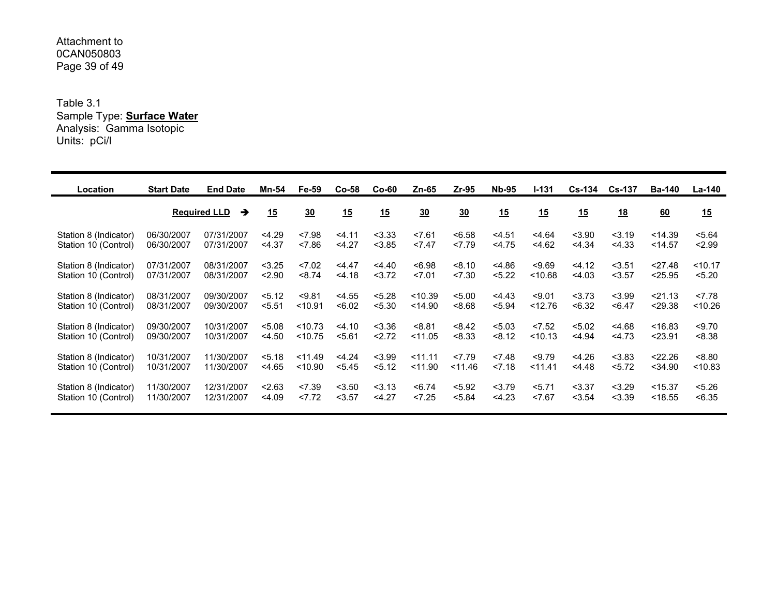#### Attachment to 0CAN050803Page 39 of 49

Table 3.1 Sample Type: **Surface Water** Analysis: Gamma Isotopic Units: pCi/l

| Location              | <b>Start Date</b> | <b>End Date</b>          | Mn-54    | Fe-59            | Co-58    | $Co-60$  | Zn-65          | $Zr-95$        | <b>Nb-95</b> | I-131   | <b>Cs-134</b> | $Cs-137$         | <b>Ba-140</b> | La-140    |
|-----------------------|-------------------|--------------------------|----------|------------------|----------|----------|----------------|----------------|--------------|---------|---------------|------------------|---------------|-----------|
|                       |                   | <b>Required LLD</b><br>→ | 15       | $\underline{30}$ | 15       | 15       | $\frac{30}{2}$ | $\frac{30}{2}$ | 15           | 15      | 15            | $\underline{18}$ | 60            | <u>15</u> |
| Station 8 (Indicator) | 06/30/2007        | 07/31/2007               | 4.29     | < 7.98           | 34.11    | $<$ 3.33 | < 7.61         | < 6.58         | < 4.51       | < 4.64  | < 3.90        | < 3.19           | < 14.39       | < 5.64    |
| Station 10 (Control)  | 06/30/2007        | 07/31/2007               | $<$ 4.37 | < 7.86           | $<$ 4.27 | < 3.85   | < 7.47         | 27.79          | < 4.75       | < 4.62  | < 4.34        | < 4.33           | $<$ 14.57     | 2.99      |
| Station 8 (Indicator) | 07/31/2007        | 08/31/2007               | < 3.25   | < 7.02           | 4.47     | 4.40     | < 6.98         | < 8.10         | < 4.86       | < 9.69  | < 4.12        | < 3.51           | < 27.48       | < 10.17   |
| Station 10 (Control)  | 07/31/2007        | 08/31/2007               | 2.90     | < 8.74           | < 4.18   | < 3.72   | < 7.01         | 27.30          | < 5.22       | < 10.68 | < 4.03        | < 3.57           | < 25.95       | < 5.20    |
| Station 8 (Indicator) | 08/31/2007        | 09/30/2007               | 5.12     | < 9.81           | < 4.55   | < 5.28   | < 10.39        | < 5.00         | 4.43         | < 9.01  | < 3.73        | < 3.99           | < 21.13       | 27.78     |
| Station 10 (Control)  | 08/31/2007        | 09/30/2007               | 5.51     | < 10.91          | < 6.02   | < 5.30   | < 14.90        | 8.68           | < 5.94       | < 12.76 | <6.32         | < 6.47           | < 29.38       | < 10.26   |
| Station 8 (Indicator) | 09/30/2007        | 10/31/2007               | < 5.08   | < 10.73          | $<$ 4.10 | < 3.36   | < 8.81         | < 8.42         | < 5.03       | < 7.52  | < 5.02        | < 4.68           | < 16.83       | < 9.70    |
| Station 10 (Control)  | 09/30/2007        | 10/31/2007               | $<$ 4.50 | < 10.75          | 5.61     | 2.72     | < 11.05        | < 8.33         | < 8.12       | < 10.13 | $<$ 4.94      | < 4.73           | < 23.91       | < 8.38    |
| Station 8 (Indicator) | 10/31/2007        | 11/30/2007               | < 5.18   | < 11.49          | < 4.24   | < 3.99   | < 11.11        | 27.79          | < 7.48       | < 9.79  | < 4.26        | < 3.83           | < 22.26       | 8.80      |
| Station 10 (Control)  | 10/31/2007        | 11/30/2007               | $<$ 4.65 | < 10.90          | < 5.45   | 5.12     | < 11.90        | < 11.46        | 27.18        | 11.41   | 4.48          | 5.72             | $34.90$       | < 10.83   |
| Station 8 (Indicator) | 11/30/2007        | 12/31/2007               | 2.63     | < 7.39           | < 3.50   | 3.13     | < 6.74         | < 5.92         | 3.79         | 5.71    | $<$ 3.37      | < 3.29           | $<$ 15.37     | < 5.26    |
| Station 10 (Control)  | 11/30/2007        | 12/31/2007               | $<$ 4.09 | 27.72            | < 3.57   | $<$ 4.27 | < 7.25         | < 5.84         | < 4.23       | < 7.67  | < 3.54        | < 3.39           | < 18.55       | < 6.35    |
|                       |                   |                          |          |                  |          |          |                |                |              |         |               |                  |               |           |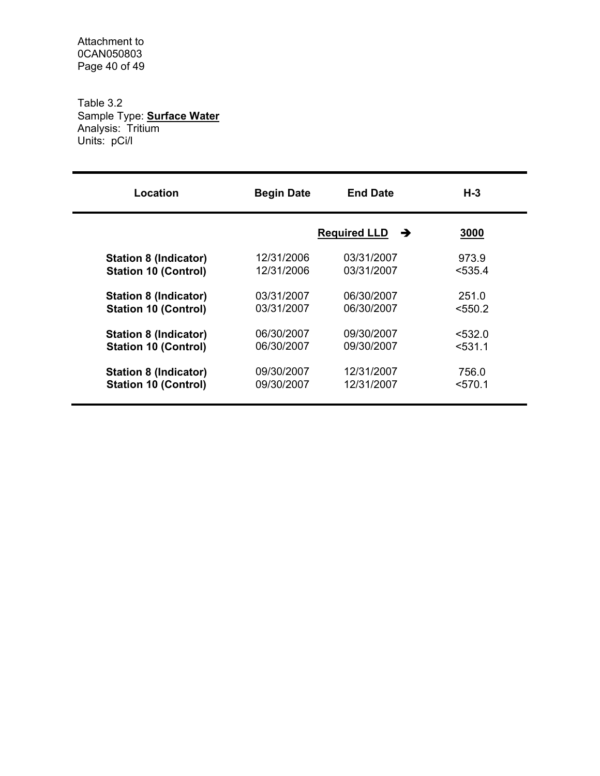Attachment to 0CAN050803 Page 40 of 49

Table 3.2 Sample Type: **Surface Water** Analysis: Tritium Units: pCi/l

| <b>Begin Date</b> | <b>End Date</b> | $H-3$               |  |
|-------------------|-----------------|---------------------|--|
|                   | →               | 3000                |  |
| 12/31/2006        | 03/31/2007      | 973.9               |  |
| 12/31/2006        | 03/31/2007      | < 535.4             |  |
| 03/31/2007        | 06/30/2007      | 251.0               |  |
| 03/31/2007        | 06/30/2007      | < 550.2             |  |
| 06/30/2007        | 09/30/2007      | < 532.0             |  |
| 06/30/2007        | 09/30/2007      | $531.1$             |  |
| 09/30/2007        | 12/31/2007      | 756.0               |  |
| 09/30/2007        | 12/31/2007      | $<$ 570.1           |  |
|                   |                 | <b>Required LLD</b> |  |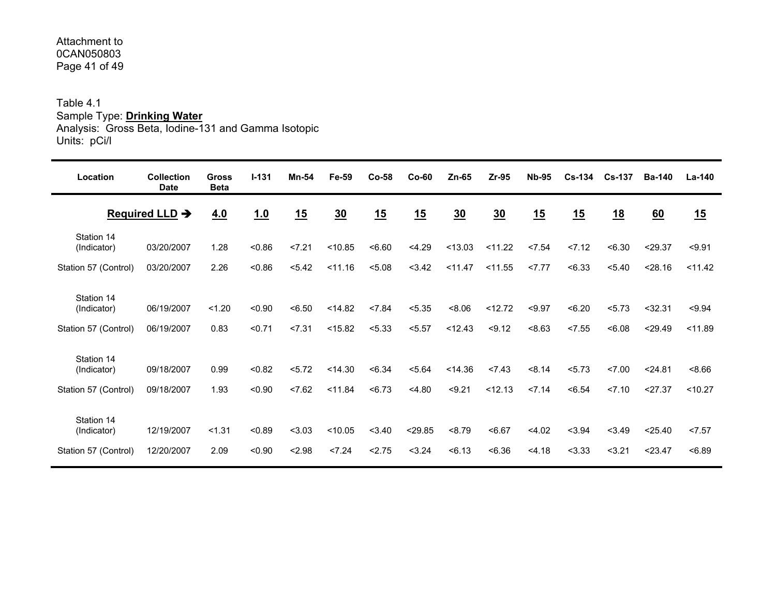#### Attachment to 0CAN050803Page 41 of 49

## Table 4.1 Sample Type: **Drinking Water**

Analysis: Gross Beta, Iodine-131 and Gamma Isotopic Units: pCi/l

| Location                                          | <b>Collection</b><br><b>Date</b> | <b>Gross</b><br><b>Beta</b> | $I - 131$        | Mn-54            | Fe-59              | $Co-58$          | $Co-60$           | $Zn-65$          | Zr-95             | <b>Nb-95</b>     | $Cs-134$         | <b>Cs-137</b>    | <b>Ba-140</b>      | La-140            |
|---------------------------------------------------|----------------------------------|-----------------------------|------------------|------------------|--------------------|------------------|-------------------|------------------|-------------------|------------------|------------------|------------------|--------------------|-------------------|
|                                                   | Required LLD $\rightarrow$       | 4.0                         | 1.0              | 15               | $\underline{30}$   | 15               | 15                | 30               | 30                | 15               | 15               | <u>18</u>        | 60                 | 15                |
| Station 14<br>(Indicator)                         | 03/20/2007                       | 1.28                        | < 0.86           | 27.21            | < 10.85            | 56.60            | < 4.29            | < 13.03          | < 11.22           | < 7.54           | 27.12            | <6.30            | < 29.37            | < 9.91            |
| Station 57 (Control)                              | 03/20/2007                       | 2.26                        | < 0.86           | < 5.42           | < 11.16            | < 5.08           | 3.42              | $<$ 11.47        | < 11.55           | 27.77            | < 6.33           | < 5.40           | < 28.16            | < 11.42           |
| Station 14<br>(Indicator)<br>Station 57 (Control) | 06/19/2007<br>06/19/2007         | < 1.20<br>0.83              | < 0.90<br>< 0.71 | < 6.50<br>27.31  | < 14.82<br>< 15.82 | < 7.84<br>< 5.33 | < 5.35<br>< 5.57  | 8.06<br>< 12.43  | < 12.72<br>< 9.12 | < 9.97<br><8.63  | <6.20<br>< 7.55  | 5.73<br><6.08    | < 32.31<br>< 29.49 | < 9.94<br>< 11.89 |
| Station 14<br>(Indicator)<br>Station 57 (Control) | 09/18/2007<br>09/18/2007         | 0.99<br>1.93                | < 0.82<br>< 0.90 | < 5.72<br>27.62  | < 14.30<br>< 11.84 | < 6.34<br>< 6.73 | < 5.64<br>< 4.80  | < 14.36<br>59.21 | < 7.43<br>< 12.13 | < 8.14<br>27.14  | < 5.73<br>< 6.54 | 27.00<br>27.10   | < 24.81<br>27.37   | 8.66<br>< 10.27   |
| Station 14<br>(Indicator)<br>Station 57 (Control) | 12/19/2007<br>12/20/2007         | < 1.31<br>2.09              | < 0.89<br>< 0.90 | < 3.03<br>< 2.98 | < 10.05<br>< 7.24  | < 3.40<br>2.75   | < 29.85<br>< 3.24 | < 8.79<br>56.13  | < 6.67<br>< 6.36  | < 4.02<br>< 4.18 | < 3.94<br>< 3.33 | < 3.49<br>< 3.21 | < 25.40<br>< 23.47 | 27.57<br><6.89    |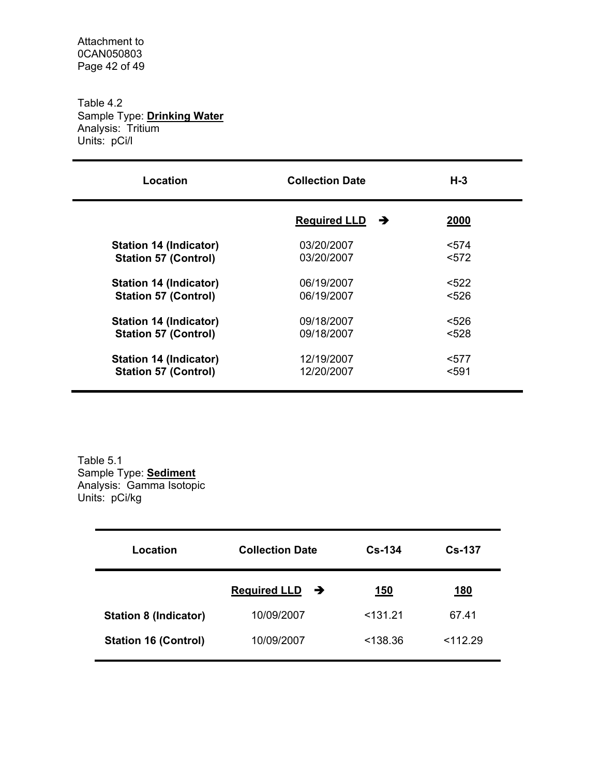Attachment to 0CAN050803 Page 42 of 49

Table 4.2 Sample Type: **Drinking Water** Analysis: Tritium Units: pCi/l

| Location                      | <b>Collection Date</b>   | H-3         |
|-------------------------------|--------------------------|-------------|
|                               | <b>Required LLD</b><br>→ | <b>2000</b> |
| <b>Station 14 (Indicator)</b> | 03/20/2007               | < 574       |
| <b>Station 57 (Control)</b>   | 03/20/2007               | < 572       |
| <b>Station 14 (Indicator)</b> | 06/19/2007               | < 522       |
| <b>Station 57 (Control)</b>   | 06/19/2007               | < 526       |
| <b>Station 14 (Indicator)</b> | 09/18/2007               | < 526       |
| <b>Station 57 (Control)</b>   | 09/18/2007               | <528        |
| <b>Station 14 (Indicator)</b> | 12/19/2007               | $577$       |
| <b>Station 57 (Control)</b>   | 12/20/2007               | $591$       |

Table 5.1 Sample Type: **Sediment** Analysis: Gamma Isotopic Units: pCi/kg

| Location                     | <b>Collection Date</b>               | $Cs - 134$ | $Cs-137$    |
|------------------------------|--------------------------------------|------------|-------------|
|                              | <b>Required LLD</b><br>$\rightarrow$ | <u>150</u> | <u> 180</u> |
| <b>Station 8 (Indicator)</b> | 10/09/2007                           | < 131.21   | 67.41       |
| <b>Station 16 (Control)</b>  | 10/09/2007                           | <138.36    | < 112.29    |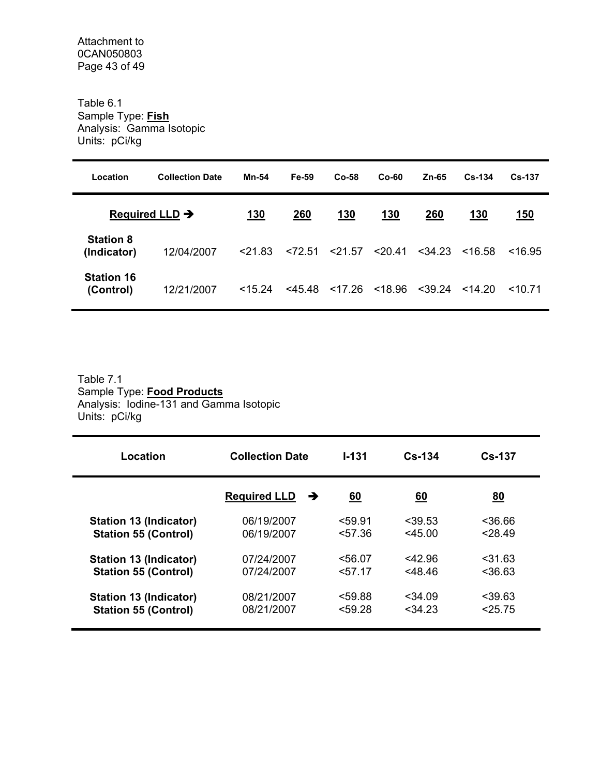Table 6.1 Sample Type: **Fish** Analysis: Gamma Isotopic Units: pCi/kg

| Location                        | <b>Collection Date</b>     | Mn-54      | Fe-59     | Co-58     | $Co-60$ | Zn-65     | $Cs - 134$ | $Cs - 137$ |
|---------------------------------|----------------------------|------------|-----------|-----------|---------|-----------|------------|------------|
|                                 | Required LLD $\rightarrow$ | <u>130</u> | 260       | 130       | 130     | 260       | 130        | 150        |
| <b>Station 8</b><br>(Indicator) | 12/04/2007                 | < 21.83    | < 72.51   | < 21.57   | < 20.41 | $<$ 34.23 | < 16.58    | ~16.95     |
| <b>Station 16</b><br>(Control)  | 12/21/2007                 | $<$ 15.24  | $<$ 45.48 | $<$ 17.26 | < 18.96 | $<$ 39.24 | 14.20      | 1071       |

## Table 7.1 Sample Type: **Food Products** Analysis: Iodine-131 and Gamma Isotopic Units: pCi/kg

| Location                      | <b>Collection Date</b>   | $1 - 131$ | $Cs - 134$ | <b>Cs-137</b> |
|-------------------------------|--------------------------|-----------|------------|---------------|
|                               | <b>Required LLD</b><br>→ | 60        | <u>60</u>  | <u>80</u>     |
| <b>Station 13 (Indicator)</b> | 06/19/2007               | < 59.91   | < 39.53    | 36.66         |
| <b>Station 55 (Control)</b>   | 06/19/2007               | 57.36     | $<$ 45.00  | < 28.49       |
| <b>Station 13 (Indicator)</b> | 07/24/2007               | < 56.07   | <42.96     | $<$ 31.63     |
| <b>Station 55 (Control)</b>   | 07/24/2007               | < 57.17   | $<$ 48.46  | <36.63        |
| <b>Station 13 (Indicator)</b> | 08/21/2007               | < 59.88   | $<$ 34.09  | < 39.63       |
| <b>Station 55 (Control)</b>   | 08/21/2007               | < 59.28   | < 34.23    | < 25.75       |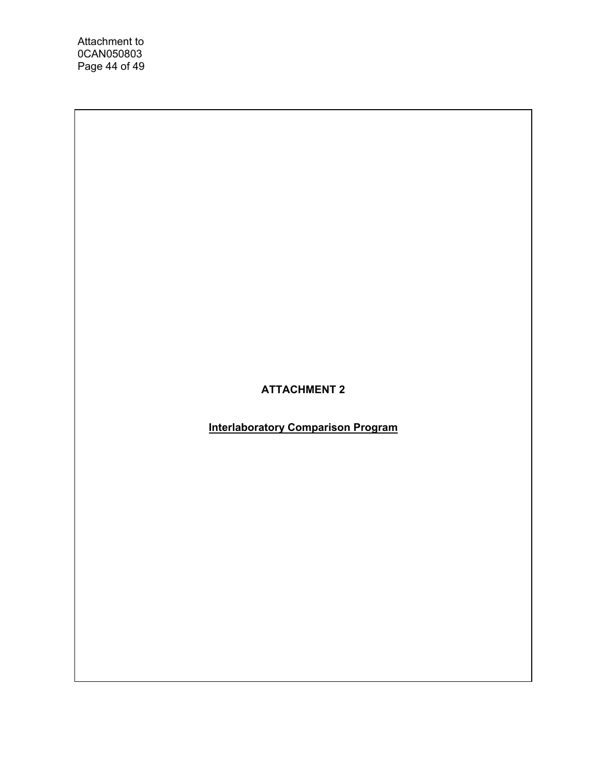Attachment to 0CAN050803 Page 44 of 49

## **ATTACHMENT 2**

**Interlaboratory Comparison Program**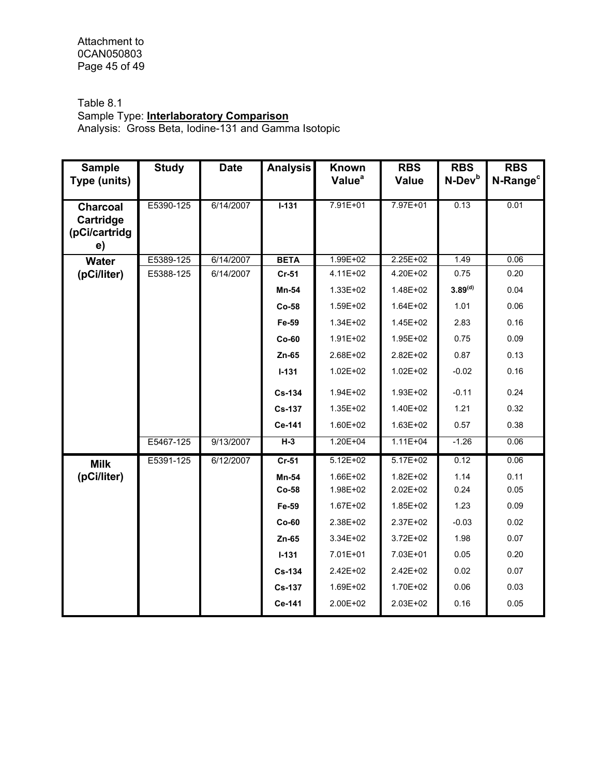Attachment to 0CAN050803 Page 45 of 49

## Table 8.1

## Sample Type: **Interlaboratory Comparison**

Analysis: Gross Beta, Iodine-131 and Gamma Isotopic

| <b>Sample</b><br>Type (units)                       | <b>Study</b> | <b>Date</b> | <b>Analysis</b> | Known<br>Value <sup>a</sup> | <b>RBS</b><br><b>Value</b> | <b>RBS</b><br>N-Dev <sup>b</sup> | <b>RBS</b><br>N-Range <sup>c</sup> |
|-----------------------------------------------------|--------------|-------------|-----------------|-----------------------------|----------------------------|----------------------------------|------------------------------------|
|                                                     |              |             |                 |                             |                            |                                  |                                    |
| <b>Charcoal</b><br>Cartridge<br>(pCi/cartridg<br>e) | E5390-125    | 6/14/2007   | $I-131$         | 7.91E+01                    | 7.97E+01                   | 0.13                             | 0.01                               |
| <b>Water</b>                                        | E5389-125    | 6/14/2007   | <b>BETA</b>     | $1.99E + 02$                | $2.25E + 02$               | 1.49                             | 0.06                               |
| (pCi/liter)                                         | E5388-125    | 6/14/2007   | $Cr-51$         | $4.11E + 02$                | 4.20E+02                   | 0.75                             | 0.20                               |
|                                                     |              |             | Mn-54           | $1.33E + 02$                | $1.48E + 02$               | 3.89 <sup>(d)</sup>              | 0.04                               |
|                                                     |              |             | $Co-58$         | $1.59E + 02$                | $1.64E + 02$               | 1.01                             | 0.06                               |
|                                                     |              |             | Fe-59           | $1.34E + 02$                | $1.45E + 02$               | 2.83                             | 0.16                               |
|                                                     |              |             | $Co-60$         | $1.91E + 02$                | 1.95E+02                   | 0.75                             | 0.09                               |
|                                                     |              |             | Zn-65           | 2.68E+02                    | $2.82E + 02$               | 0.87                             | 0.13                               |
|                                                     |              |             | $I-131$         | $1.02E + 02$                | $1.02E + 02$               | $-0.02$                          | 0.16                               |
|                                                     |              |             | Cs-134          | 1.94E+02                    | 1.93E+02                   | $-0.11$                          | 0.24                               |
|                                                     |              |             | <b>Cs-137</b>   | $1.35E + 02$                | $1.40E + 02$               | 1.21                             | 0.32                               |
|                                                     |              |             | Ce-141          | 1.60E+02                    | $1.63E + 02$               | 0.57                             | 0.38                               |
|                                                     | E5467-125    | 9/13/2007   | $H-3$           | $1.20E + 04$                | $1.11E+04$                 | $-1.26$                          | 0.06                               |
| <b>Milk</b>                                         | E5391-125    | 6/12/2007   | $Cr-51$         | $5.12E+02$                  | $5.17E+02$                 | 0.12                             | 0.06                               |
| (pCi/liter)                                         |              |             | Mn-54           | 1.66E+02                    | $1.82E + 02$               | 1.14                             | 0.11                               |
|                                                     |              |             | $Co-58$         | 1.98E+02                    | 2.02E+02                   | 0.24                             | 0.05                               |
|                                                     |              |             | Fe-59           | $1.67E + 02$                | $1.85E + 02$               | 1.23                             | 0.09                               |
|                                                     |              |             | $Co-60$         | $2.38E + 02$                | $2.37E + 02$               | $-0.03$                          | 0.02                               |
|                                                     |              |             | Zn-65           | 3.34E+02                    | $3.72E + 02$               | 1.98                             | 0.07                               |
|                                                     |              |             | $I - 131$       | 7.01E+01                    | 7.03E+01                   | 0.05                             | 0.20                               |
|                                                     |              |             | Cs-134          | $2.42E + 02$                | $2.42E + 02$               | 0.02                             | 0.07                               |
|                                                     |              |             | <b>Cs-137</b>   | $1.69E + 02$                | 1.70E+02                   | 0.06                             | 0.03                               |
|                                                     |              |             | Ce-141          | 2.00E+02                    | $2.03E + 02$               | 0.16                             | 0.05                               |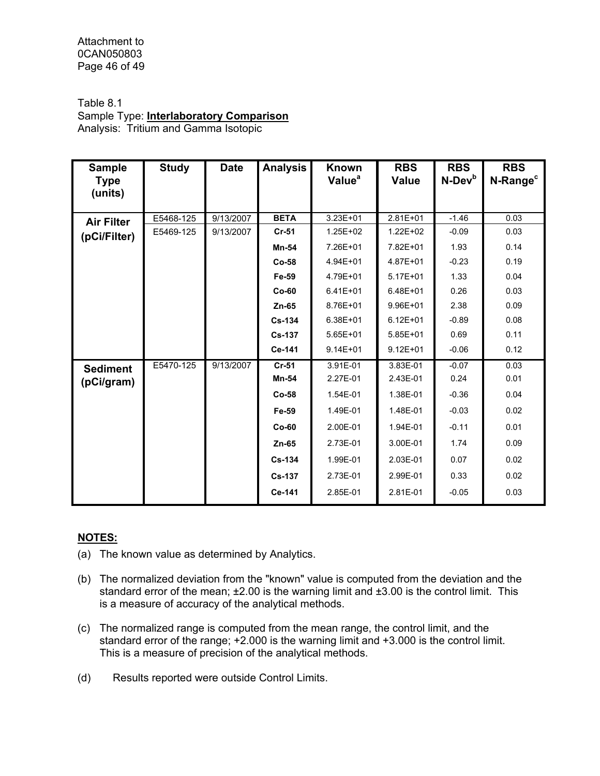Attachment to 0CAN050803 Page 46 of 49

## Table 8.1

Sample Type: **Interlaboratory Comparison** Analysis: Tritium and Gamma Isotopic

| <b>Sample</b><br><b>Type</b><br>(units) | <b>Study</b> | <b>Date</b> | <b>Analysis</b> | <b>Known</b><br>Value <sup>a</sup> | <b>RBS</b><br><b>Value</b> | <b>RBS</b><br>N-Dev <sup>b</sup> | <b>RBS</b><br>N-Range <sup>c</sup> |
|-----------------------------------------|--------------|-------------|-----------------|------------------------------------|----------------------------|----------------------------------|------------------------------------|
| <b>Air Filter</b><br>(pCi/Filter)       | E5468-125    | 9/13/2007   | <b>BETA</b>     | $3.23E + 01$                       | $2.81E+01$                 | $-1.46$                          | 0.03                               |
|                                         | E5469-125    | 9/13/2007   | $Cr-51$         | $1.25E + 02$                       | $1.22E + 02$               | $-0.09$                          | 0.03                               |
|                                         |              |             | Mn-54           | 7.26E+01                           | 7.82E+01                   | 1.93                             | 0.14                               |
|                                         |              |             | Co-58           | 4.94E+01                           | $4.87E + 01$               | $-0.23$                          | 0.19                               |
|                                         |              |             | Fe-59           | 4.79E+01                           | $5.17E + 01$               | 1.33                             | 0.04                               |
|                                         |              |             | $Co-60$         | $6.41E + 01$                       | $6.48E + 01$               | 0.26                             | 0.03                               |
|                                         |              |             | $Zn-65$         | 8.76E+01                           | $9.96E + 01$               | 2.38                             | 0.09                               |
|                                         |              |             | Cs-134          | $6.38E + 01$                       | $6.12E + 01$               | $-0.89$                          | 0.08                               |
|                                         |              |             | <b>Cs-137</b>   | $5.65E + 01$                       | $5.85E + 01$               | 0.69                             | 0.11                               |
|                                         |              |             | Ce-141          | $9.14E + 01$                       | $9.12E + 01$               | $-0.06$                          | 0.12                               |
| <b>Sediment</b><br>(pCi/gram)           | E5470-125    | 9/13/2007   | Cr-51           | 3.91E-01                           | 3.83E-01                   | $-0.07$                          | 0.03                               |
|                                         |              |             | Mn-54           | 2.27E-01                           | 2.43E-01                   | 0.24                             | 0.01                               |
|                                         |              |             | Co-58           | 1.54E-01                           | 1.38E-01                   | $-0.36$                          | 0.04                               |
|                                         |              |             | Fe-59           | 1.49E-01                           | 1.48E-01                   | $-0.03$                          | 0.02                               |
|                                         |              |             | $Co-60$         | 2.00E-01                           | 1.94E-01                   | $-0.11$                          | 0.01                               |
|                                         |              |             | Zn-65           | 2.73E-01                           | 3.00E-01                   | 1.74                             | 0.09                               |
|                                         |              |             | <b>Cs-134</b>   | 1.99E-01                           | 2.03E-01                   | 0.07                             | 0.02                               |
|                                         |              |             | <b>Cs-137</b>   | 2.73E-01                           | 2.99E-01                   | 0.33                             | 0.02                               |
|                                         |              |             | Ce-141          | 2.85E-01                           | 2.81E-01                   | $-0.05$                          | 0.03                               |

#### **NOTES:**

- (a) The known value as determined by Analytics.
- (b) The normalized deviation from the "known" value is computed from the deviation and the standard error of the mean; ±2.00 is the warning limit and ±3.00 is the control limit. This is a measure of accuracy of the analytical methods.
- (c) The normalized range is computed from the mean range, the control limit, and the standard error of the range; +2.000 is the warning limit and +3.000 is the control limit. This is a measure of precision of the analytical methods.
- (d) Results reported were outside Control Limits.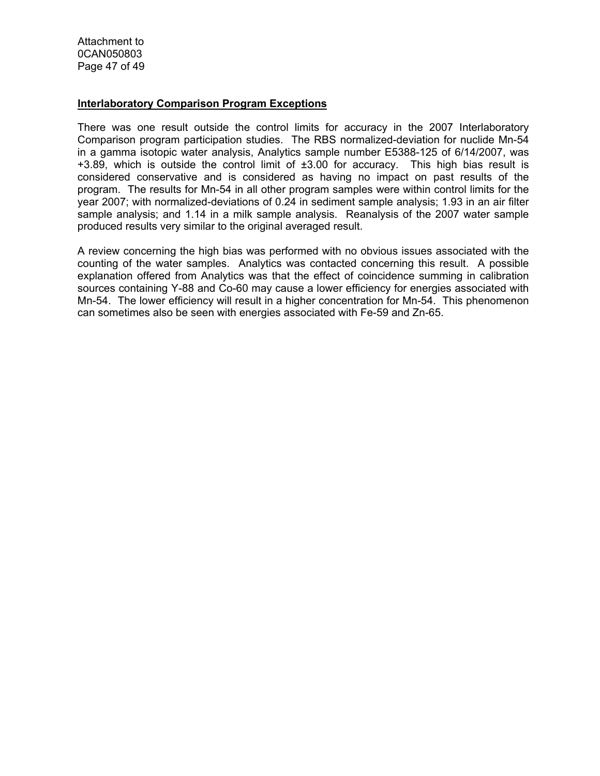Attachment to 0CAN050803 Page 47 of 49

#### **Interlaboratory Comparison Program Exceptions**

There was one result outside the control limits for accuracy in the 2007 Interlaboratory Comparison program participation studies. The RBS normalized-deviation for nuclide Mn-54 in a gamma isotopic water analysis, Analytics sample number E5388-125 of 6/14/2007, was  $+3.89$ , which is outside the control limit of  $\pm 3.00$  for accuracy. This high bias result is considered conservative and is considered as having no impact on past results of the program. The results for Mn-54 in all other program samples were within control limits for the year 2007; with normalized-deviations of 0.24 in sediment sample analysis; 1.93 in an air filter sample analysis; and 1.14 in a milk sample analysis. Reanalysis of the 2007 water sample produced results very similar to the original averaged result.

A review concerning the high bias was performed with no obvious issues associated with the counting of the water samples. Analytics was contacted concerning this result. A possible explanation offered from Analytics was that the effect of coincidence summing in calibration sources containing Y-88 and Co-60 may cause a lower efficiency for energies associated with Mn-54. The lower efficiency will result in a higher concentration for Mn-54. This phenomenon can sometimes also be seen with energies associated with Fe-59 and Zn-65.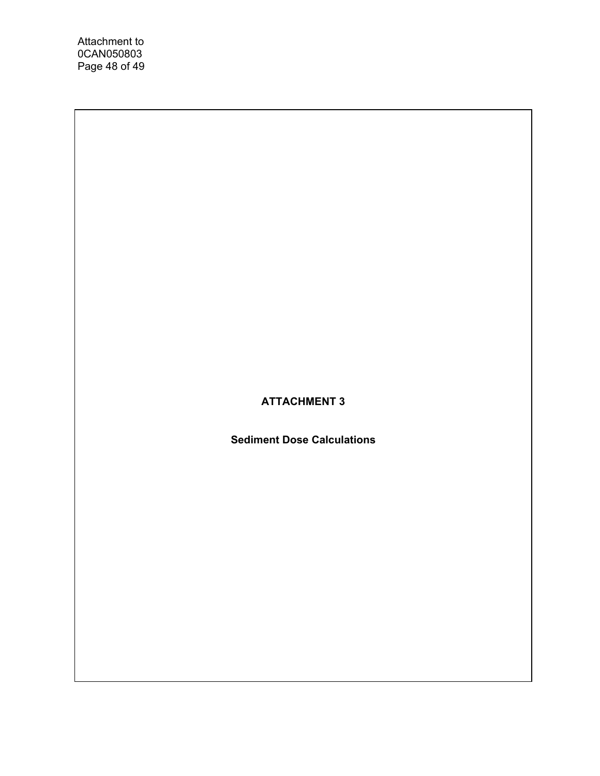Attachment to 0CAN050803 Page 48 of 49

## **ATTACHMENT 3**

**Sediment Dose Calculations**